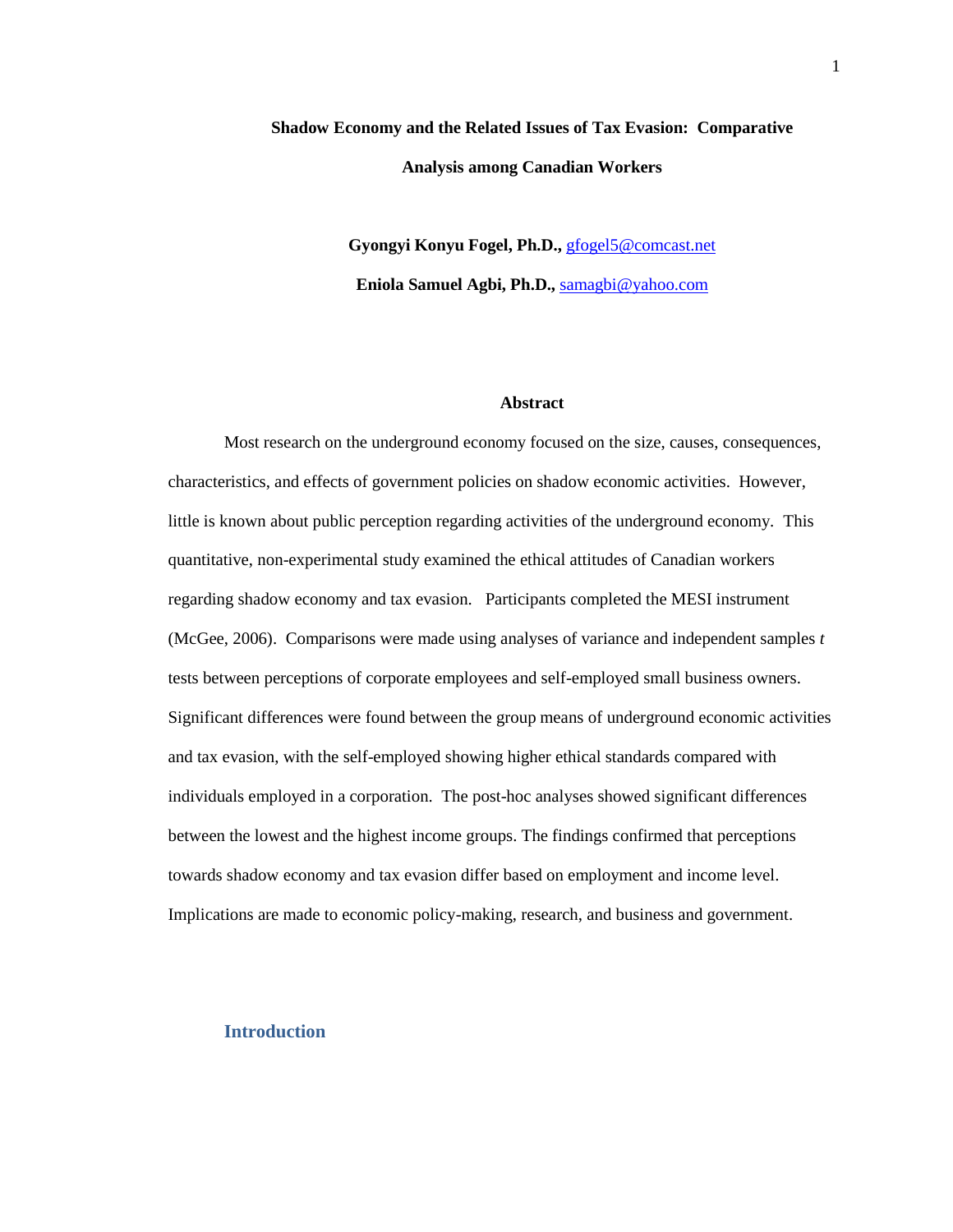# **Shadow Economy and the Related Issues of Tax Evasion: Comparative Analysis among Canadian Workers**

**Gyongyi Konyu Fogel, Ph.D.,** [gfogel5@comcast.net](mailto:gfogel5@comcast.net) **Eniola Samuel Agbi, Ph.D.,** [samagbi@yahoo.com](mailto:samagbi@yahoo.com)

#### **Abstract**

Most research on the underground economy focused on the size, causes, consequences, characteristics, and effects of government policies on shadow economic activities. However, little is known about public perception regarding activities of the underground economy. This quantitative, non-experimental study examined the ethical attitudes of Canadian workers regarding shadow economy and tax evasion. Participants completed the MESI instrument (McGee, 2006). Comparisons were made using analyses of variance and independent samples *t*  tests between perceptions of corporate employees and self-employed small business owners. Significant differences were found between the group means of underground economic activities and tax evasion, with the self-employed showing higher ethical standards compared with individuals employed in a corporation. The post-hoc analyses showed significant differences between the lowest and the highest income groups. The findings confirmed that perceptions towards shadow economy and tax evasion differ based on employment and income level. Implications are made to economic policy-making, research, and business and government.

### **Introduction**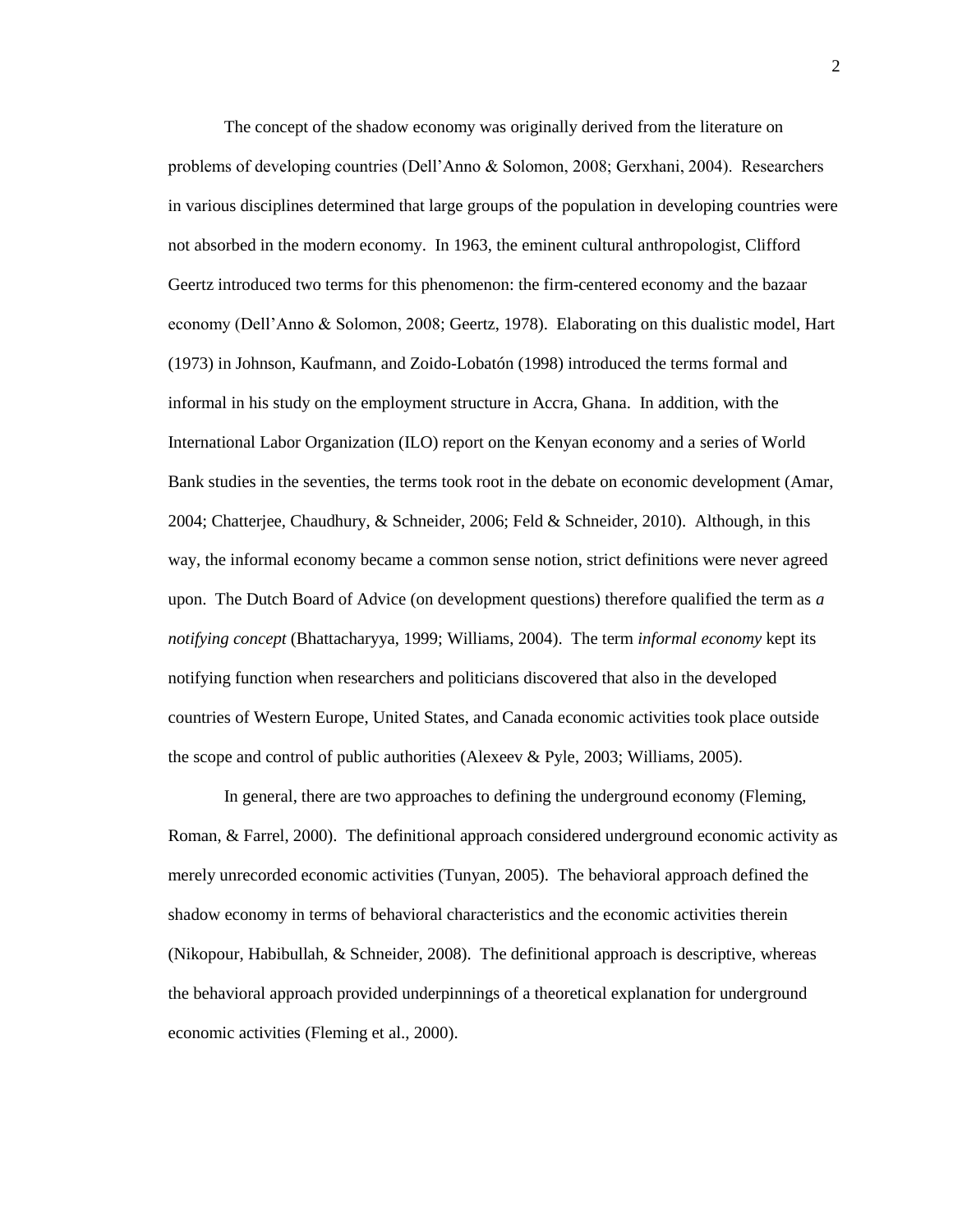The concept of the shadow economy was originally derived from the literature on problems of developing countries (Dell'Anno & Solomon, 2008; Gerxhani, 2004). Researchers in various disciplines determined that large groups of the population in developing countries were not absorbed in the modern economy. In 1963, the eminent cultural anthropologist, Clifford Geertz introduced two terms for this phenomenon: the firm-centered economy and the bazaar economy (Dell'Anno & Solomon, 2008; Geertz, 1978). Elaborating on this dualistic model, Hart (1973) in Johnson, Kaufmann, and Zoido-Lobatón (1998) introduced the terms formal and informal in his study on the employment structure in Accra, Ghana. In addition, with the International Labor Organization (ILO) report on the Kenyan economy and a series of World Bank studies in the seventies, the terms took root in the debate on economic development (Amar, 2004; Chatterjee, Chaudhury, & Schneider, 2006; Feld & Schneider, 2010). Although, in this way, the informal economy became a common sense notion, strict definitions were never agreed upon. The Dutch Board of Advice (on development questions) therefore qualified the term as *a notifying concept* (Bhattacharyya, 1999; Williams, 2004). The term *informal economy* kept its notifying function when researchers and politicians discovered that also in the developed countries of Western Europe, United States, and Canada economic activities took place outside the scope and control of public authorities (Alexeev & Pyle, 2003; Williams, 2005).

In general, there are two approaches to defining the underground economy (Fleming, Roman, & Farrel, 2000). The definitional approach considered underground economic activity as merely unrecorded economic activities (Tunyan, 2005). The behavioral approach defined the shadow economy in terms of behavioral characteristics and the economic activities therein (Nikopour, Habibullah, & Schneider, 2008). The definitional approach is descriptive, whereas the behavioral approach provided underpinnings of a theoretical explanation for underground economic activities (Fleming et al., 2000).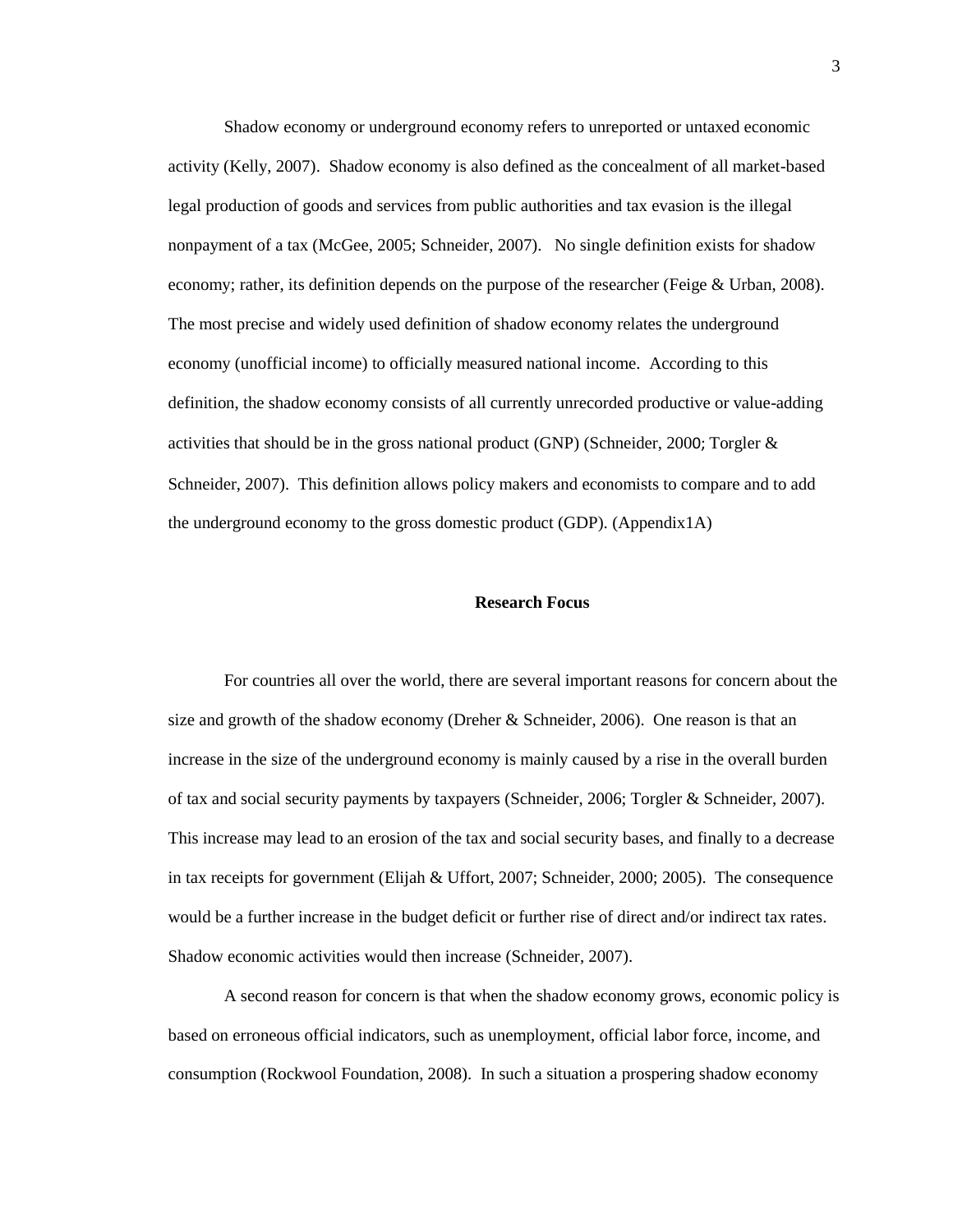Shadow economy or underground economy refers to unreported or untaxed economic activity (Kelly, 2007). Shadow economy is also defined as the concealment of all market-based legal production of goods and services from public authorities and tax evasion is the illegal nonpayment of a tax (McGee, 2005; Schneider, 2007). No single definition exists for shadow economy; rather, its definition depends on the purpose of the researcher (Feige & Urban, 2008). The most precise and widely used definition of shadow economy relates the underground economy (unofficial income) to officially measured national income. According to this definition, the shadow economy consists of all currently unrecorded productive or value-adding activities that should be in the gross national product (GNP) (Schneider, 2000; Torgler & Schneider, 2007). This definition allows policy makers and economists to compare and to add the underground economy to the gross domestic product (GDP). (Appendix1A)

#### **Research Focus**

For countries all over the world, there are several important reasons for concern about the size and growth of the shadow economy (Dreher  $&$  Schneider, 2006). One reason is that an increase in the size of the underground economy is mainly caused by a rise in the overall burden of tax and social security payments by taxpayers (Schneider, 2006; Torgler & Schneider, 2007). This increase may lead to an erosion of the tax and social security bases, and finally to a decrease in tax receipts for government (Elijah & Uffort, 2007; Schneider, 2000; 2005). The consequence would be a further increase in the budget deficit or further rise of direct and/or indirect tax rates. Shadow economic activities would then increase (Schneider, 2007).

A second reason for concern is that when the shadow economy grows, economic policy is based on erroneous official indicators, such as unemployment, official labor force, income, and consumption (Rockwool Foundation, 2008). In such a situation a prospering shadow economy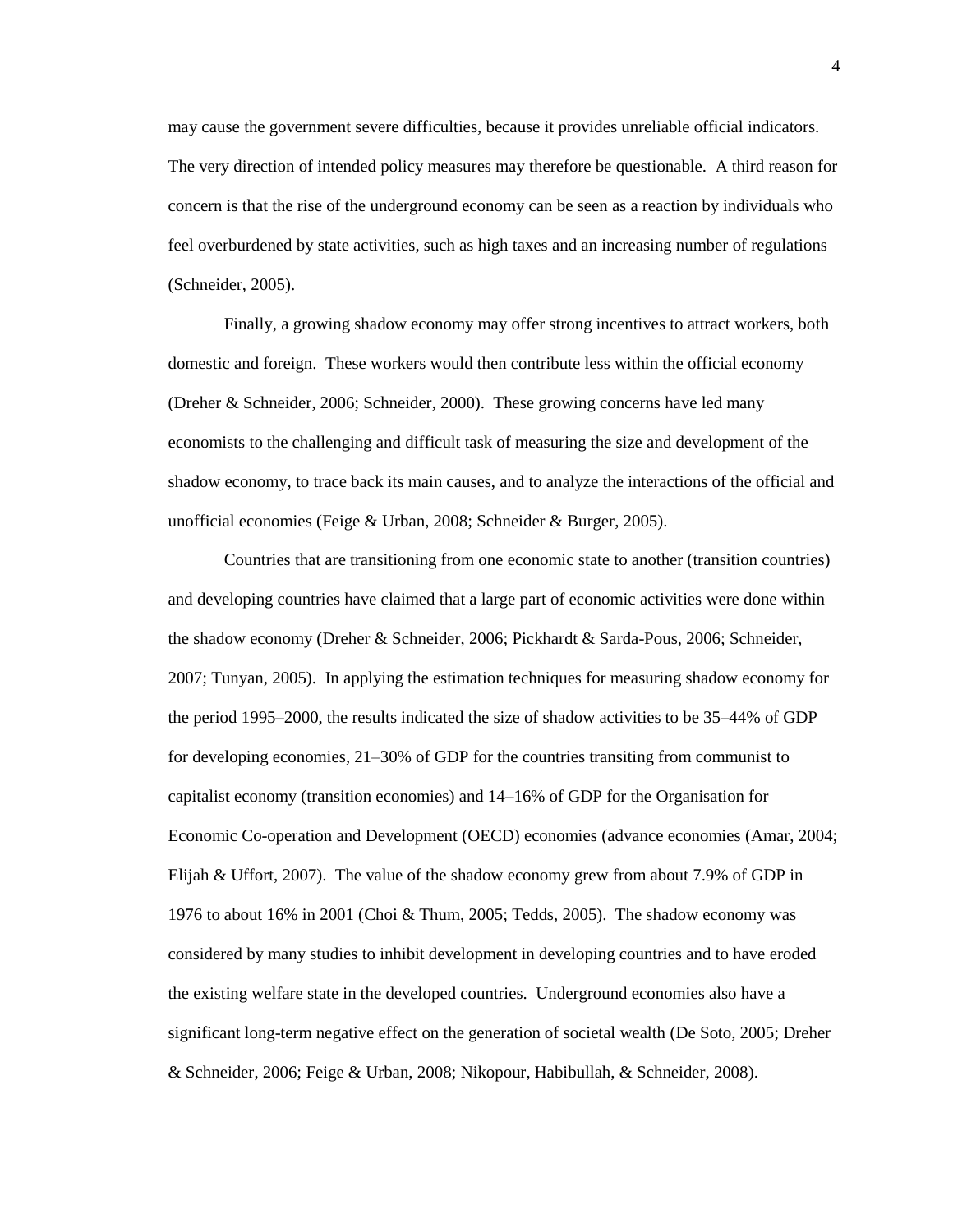may cause the government severe difficulties, because it provides unreliable official indicators. The very direction of intended policy measures may therefore be questionable. A third reason for concern is that the rise of the underground economy can be seen as a reaction by individuals who feel overburdened by state activities, such as high taxes and an increasing number of regulations (Schneider, 2005).

Finally, a growing shadow economy may offer strong incentives to attract workers, both domestic and foreign. These workers would then contribute less within the official economy (Dreher & Schneider, 2006; Schneider, 2000). These growing concerns have led many economists to the challenging and difficult task of measuring the size and development of the shadow economy, to trace back its main causes, and to analyze the interactions of the official and unofficial economies (Feige & Urban, 2008; Schneider & Burger, 2005).

Countries that are transitioning from one economic state to another (transition countries) and developing countries have claimed that a large part of economic activities were done within the shadow economy (Dreher & Schneider, 2006; Pickhardt & Sarda-Pous, 2006; Schneider, 2007; Tunyan, 2005). In applying the estimation techniques for measuring shadow economy for the period 1995–2000, the results indicated the size of shadow activities to be 35–44% of GDP for developing economies, 21–30% of GDP for the countries transiting from communist to capitalist economy (transition economies) and 14–16% of GDP for the Organisation for Economic Co-operation and Development (OECD) economies (advance economies (Amar, 2004; Elijah & Uffort, 2007). The value of the shadow economy grew from about 7.9% of GDP in 1976 to about 16% in 2001 (Choi & Thum, 2005; Tedds, 2005). The shadow economy was considered by many studies to inhibit development in developing countries and to have eroded the existing welfare state in the developed countries. Underground economies also have a significant long-term negative effect on the generation of societal wealth (De Soto, 2005; Dreher & Schneider, 2006; Feige & Urban, 2008; Nikopour, Habibullah, & Schneider, 2008).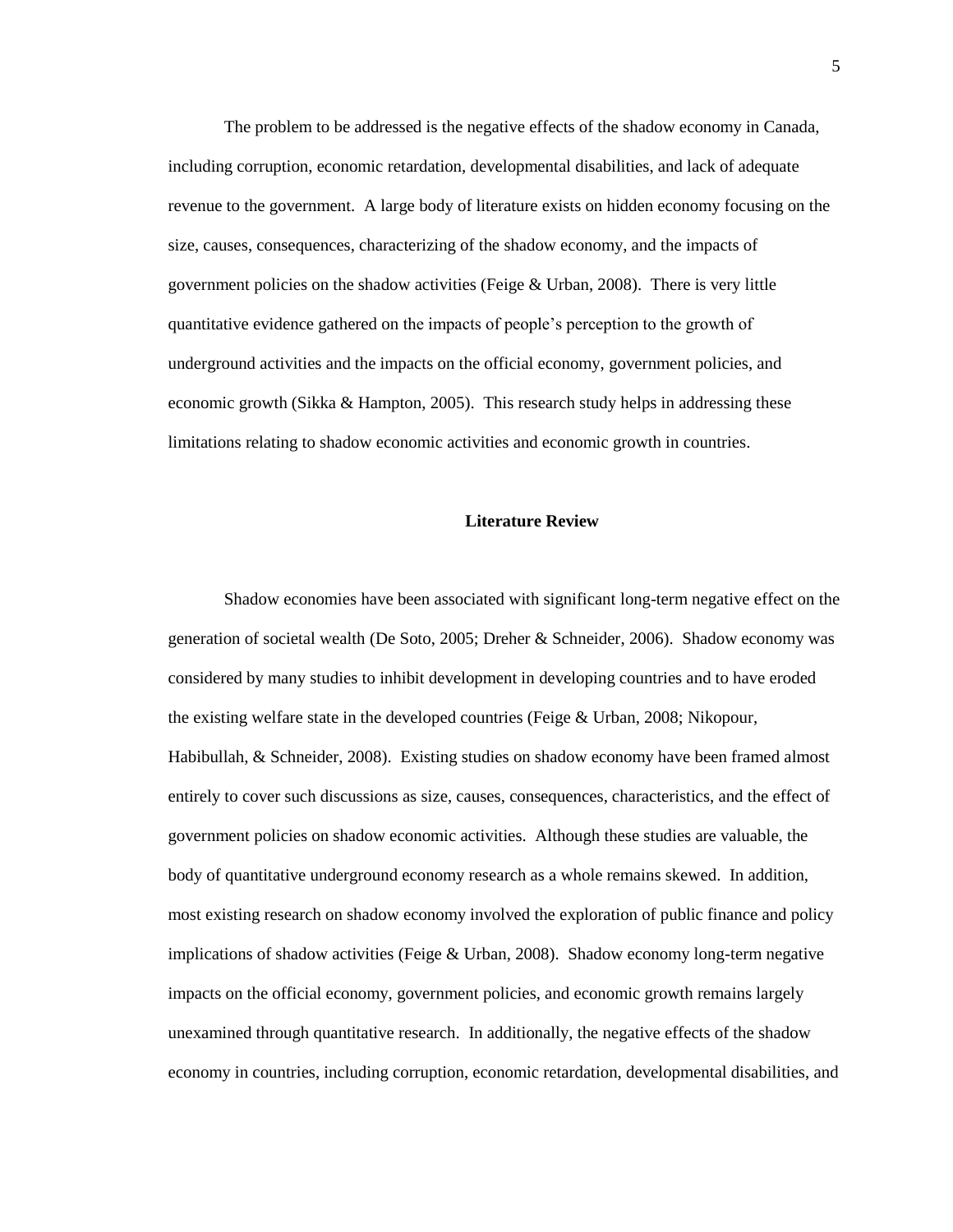The problem to be addressed is the negative effects of the shadow economy in Canada, including corruption, economic retardation, developmental disabilities, and lack of adequate revenue to the government. A large body of literature exists on hidden economy focusing on the size, causes, consequences, characterizing of the shadow economy, and the impacts of government policies on the shadow activities (Feige & Urban, 2008). There is very little quantitative evidence gathered on the impacts of people's perception to the growth of underground activities and the impacts on the official economy, government policies, and economic growth (Sikka & Hampton, 2005). This research study helps in addressing these limitations relating to shadow economic activities and economic growth in countries.

### **Literature Review**

Shadow economies have been associated with significant long-term negative effect on the generation of societal wealth (De Soto, 2005; Dreher & Schneider, 2006). Shadow economy was considered by many studies to inhibit development in developing countries and to have eroded the existing welfare state in the developed countries (Feige & Urban, 2008; Nikopour, Habibullah, & Schneider, 2008). Existing studies on shadow economy have been framed almost entirely to cover such discussions as size, causes, consequences, characteristics, and the effect of government policies on shadow economic activities. Although these studies are valuable, the body of quantitative underground economy research as a whole remains skewed. In addition, most existing research on shadow economy involved the exploration of public finance and policy implications of shadow activities (Feige & Urban, 2008). Shadow economy long-term negative impacts on the official economy, government policies, and economic growth remains largely unexamined through quantitative research. In additionally, the negative effects of the shadow economy in countries, including corruption, economic retardation, developmental disabilities, and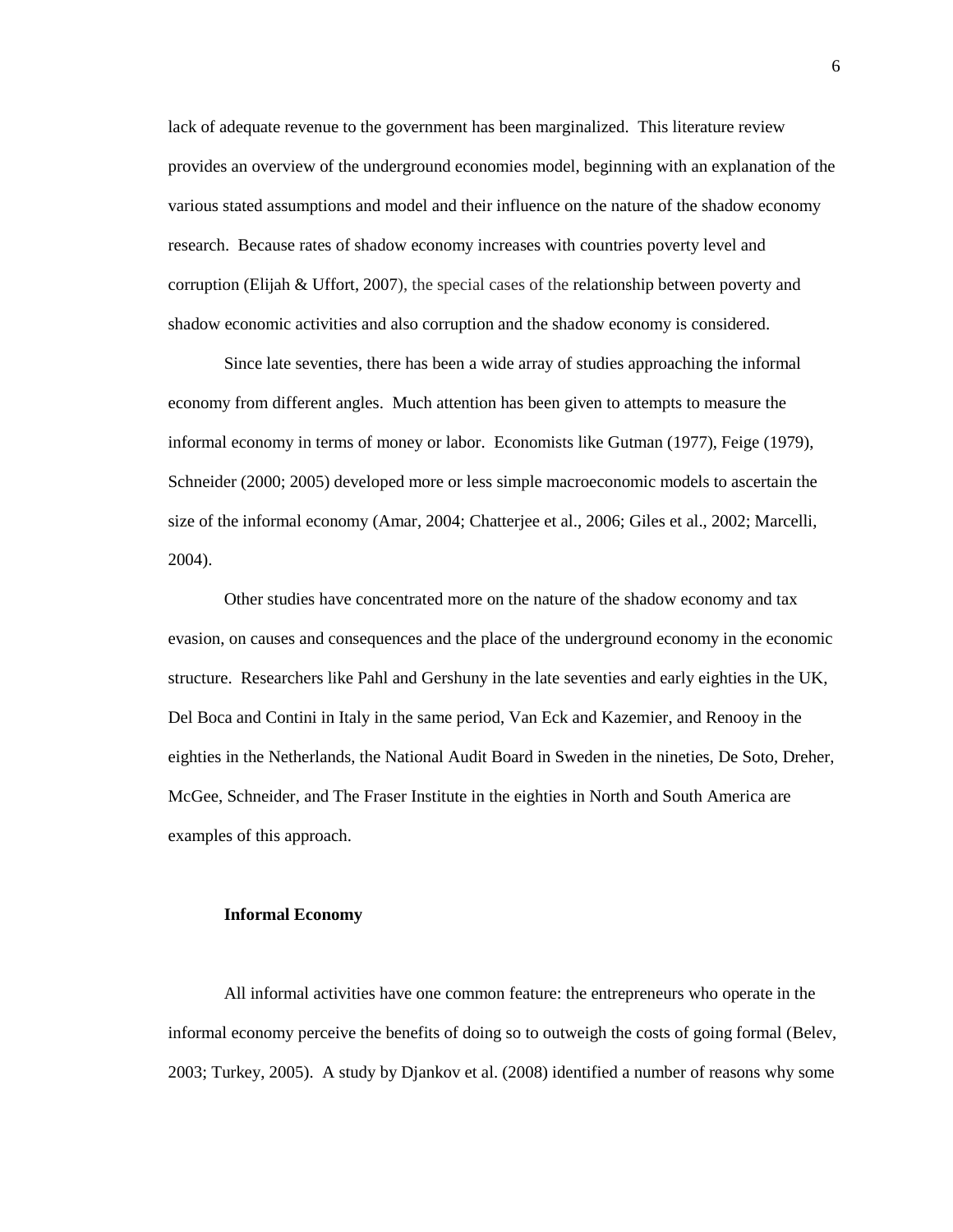lack of adequate revenue to the government has been marginalized. This literature review provides an overview of the underground economies model, beginning with an explanation of the various stated assumptions and model and their influence on the nature of the shadow economy research. Because rates of shadow economy increases with countries poverty level and corruption (Elijah & Uffort, 2007), the special cases of the relationship between poverty and shadow economic activities and also corruption and the shadow economy is considered.

Since late seventies, there has been a wide array of studies approaching the informal economy from different angles. Much attention has been given to attempts to measure the informal economy in terms of money or labor. Economists like Gutman (1977), Feige (1979), Schneider (2000; 2005) developed more or less simple macroeconomic models to ascertain the size of the informal economy (Amar, 2004; Chatterjee et al., 2006; Giles et al., 2002; Marcelli, 2004).

Other studies have concentrated more on the nature of the shadow economy and tax evasion, on causes and consequences and the place of the underground economy in the economic structure. Researchers like Pahl and Gershuny in the late seventies and early eighties in the UK, Del Boca and Contini in Italy in the same period, Van Eck and Kazemier, and Renooy in the eighties in the Netherlands, the National Audit Board in Sweden in the nineties, De Soto, Dreher, McGee, Schneider, and The Fraser Institute in the eighties in North and South America are examples of this approach.

#### **Informal Economy**

All informal activities have one common feature: the entrepreneurs who operate in the informal economy perceive the benefits of doing so to outweigh the costs of going formal (Belev, 2003; Turkey, 2005). A study by Djankov et al. (2008) identified a number of reasons why some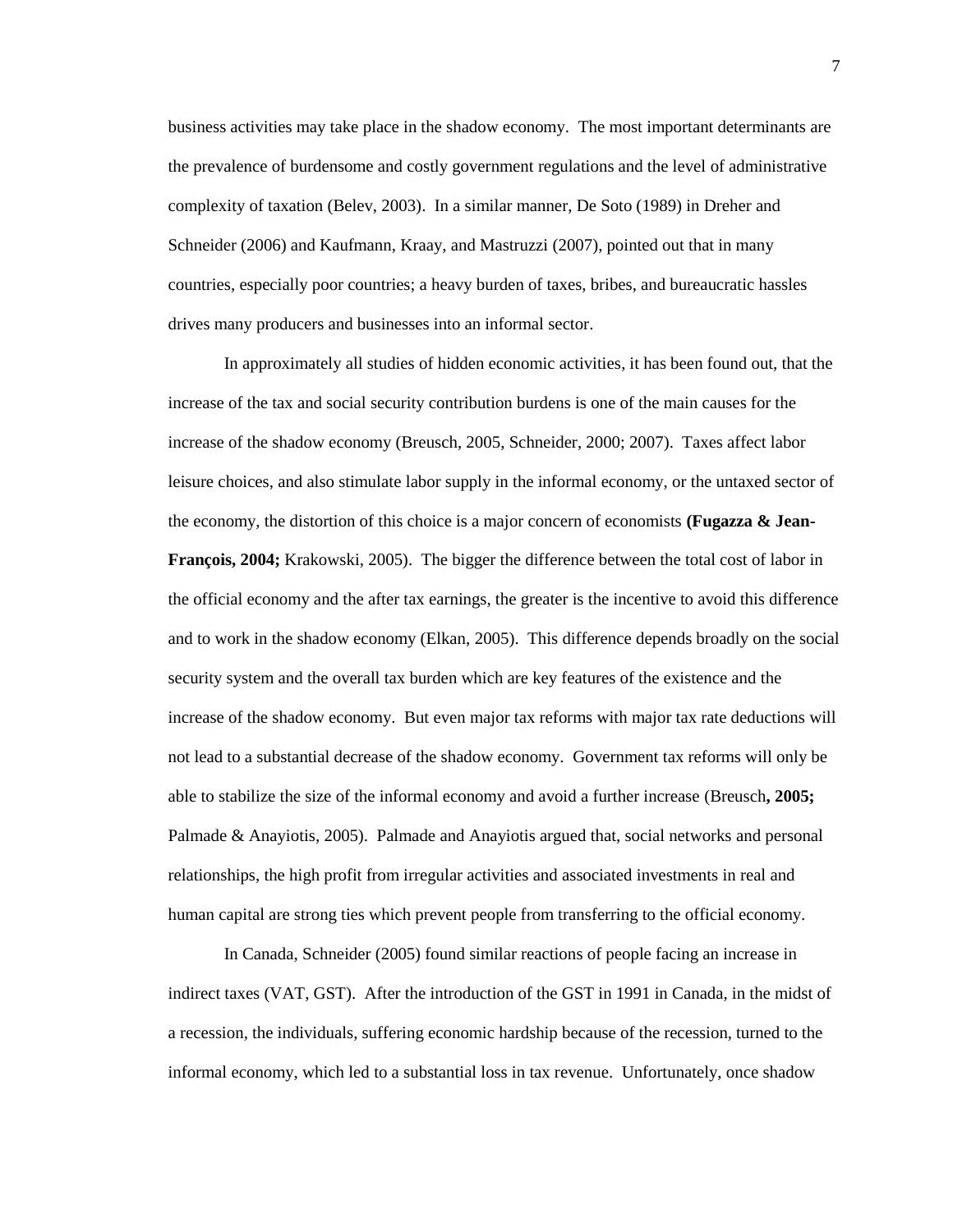business activities may take place in the shadow economy. The most important determinants are the prevalence of burdensome and costly government regulations and the level of administrative complexity of taxation (Belev, 2003). In a similar manner, De Soto (1989) in Dreher and Schneider (2006) and Kaufmann, Kraay, and Mastruzzi (2007), pointed out that in many countries, especially poor countries; a heavy burden of taxes, bribes, and bureaucratic hassles drives many producers and businesses into an informal sector.

In approximately all studies of hidden economic activities, it has been found out, that the increase of the tax and social security contribution burdens is one of the main causes for the increase of the shadow economy (Breusch, 2005, Schneider, 2000; 2007). Taxes affect labor leisure choices, and also stimulate labor supply in the informal economy, or the untaxed sector of the economy, the distortion of this choice is a major concern of economists **(Fugazza & Jean-François, 2004;** Krakowski, 2005). The bigger the difference between the total cost of labor in the official economy and the after tax earnings, the greater is the incentive to avoid this difference and to work in the shadow economy (Elkan, 2005). This difference depends broadly on the social security system and the overall tax burden which are key features of the existence and the increase of the shadow economy. But even major tax reforms with major tax rate deductions will not lead to a substantial decrease of the shadow economy. Government tax reforms will only be able to stabilize the size of the informal economy and avoid a further increase (Breusch**, 2005;**  Palmade & Anayiotis, 2005). Palmade and Anayiotis argued that, social networks and personal relationships, the high profit from irregular activities and associated investments in real and human capital are strong ties which prevent people from transferring to the official economy.

In Canada, Schneider (2005) found similar reactions of people facing an increase in indirect taxes (VAT, GST). After the introduction of the GST in 1991 in Canada, in the midst of a recession, the individuals, suffering economic hardship because of the recession, turned to the informal economy, which led to a substantial loss in tax revenue. Unfortunately, once shadow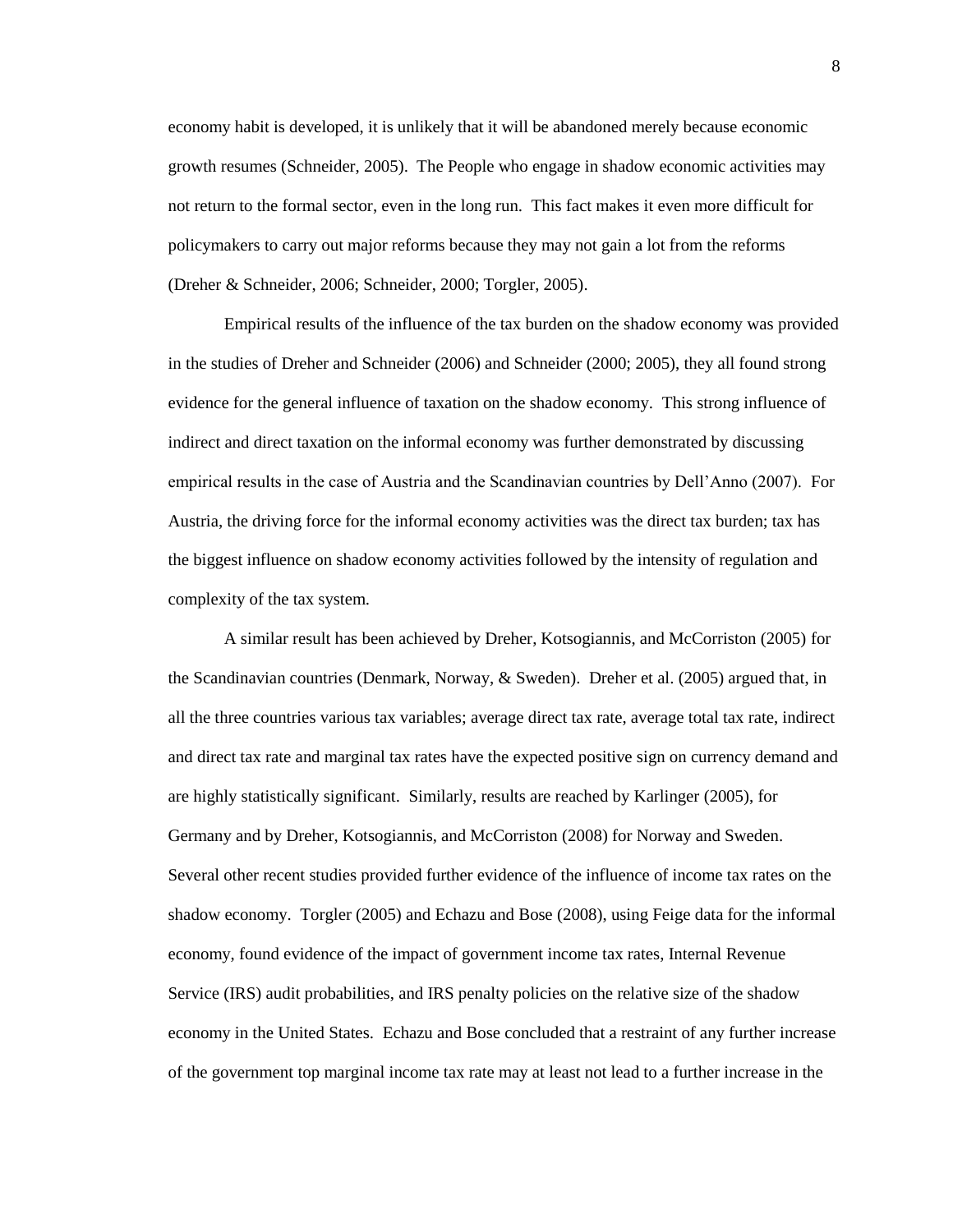economy habit is developed, it is unlikely that it will be abandoned merely because economic growth resumes (Schneider, 2005). The People who engage in shadow economic activities may not return to the formal sector, even in the long run. This fact makes it even more difficult for policymakers to carry out major reforms because they may not gain a lot from the reforms (Dreher & Schneider, 2006; Schneider, 2000; Torgler, 2005).

Empirical results of the influence of the tax burden on the shadow economy was provided in the studies of Dreher and Schneider (2006) and Schneider (2000; 2005), they all found strong evidence for the general influence of taxation on the shadow economy. This strong influence of indirect and direct taxation on the informal economy was further demonstrated by discussing empirical results in the case of Austria and the Scandinavian countries by Dell'Anno (2007). For Austria, the driving force for the informal economy activities was the direct tax burden; tax has the biggest influence on shadow economy activities followed by the intensity of regulation and complexity of the tax system.

A similar result has been achieved by Dreher, Kotsogiannis, and McCorriston (2005) for the Scandinavian countries (Denmark, Norway, & Sweden). Dreher et al. (2005) argued that, in all the three countries various tax variables; average direct tax rate, average total tax rate, indirect and direct tax rate and marginal tax rates have the expected positive sign on currency demand and are highly statistically significant. Similarly, results are reached by Karlinger (2005), for Germany and by Dreher, Kotsogiannis, and McCorriston (2008) for Norway and Sweden. Several other recent studies provided further evidence of the influence of income tax rates on the shadow economy. Torgler (2005) and Echazu and Bose (2008), using Feige data for the informal economy, found evidence of the impact of government income tax rates, Internal Revenue Service (IRS) audit probabilities, and IRS penalty policies on the relative size of the shadow economy in the United States. Echazu and Bose concluded that a restraint of any further increase of the government top marginal income tax rate may at least not lead to a further increase in the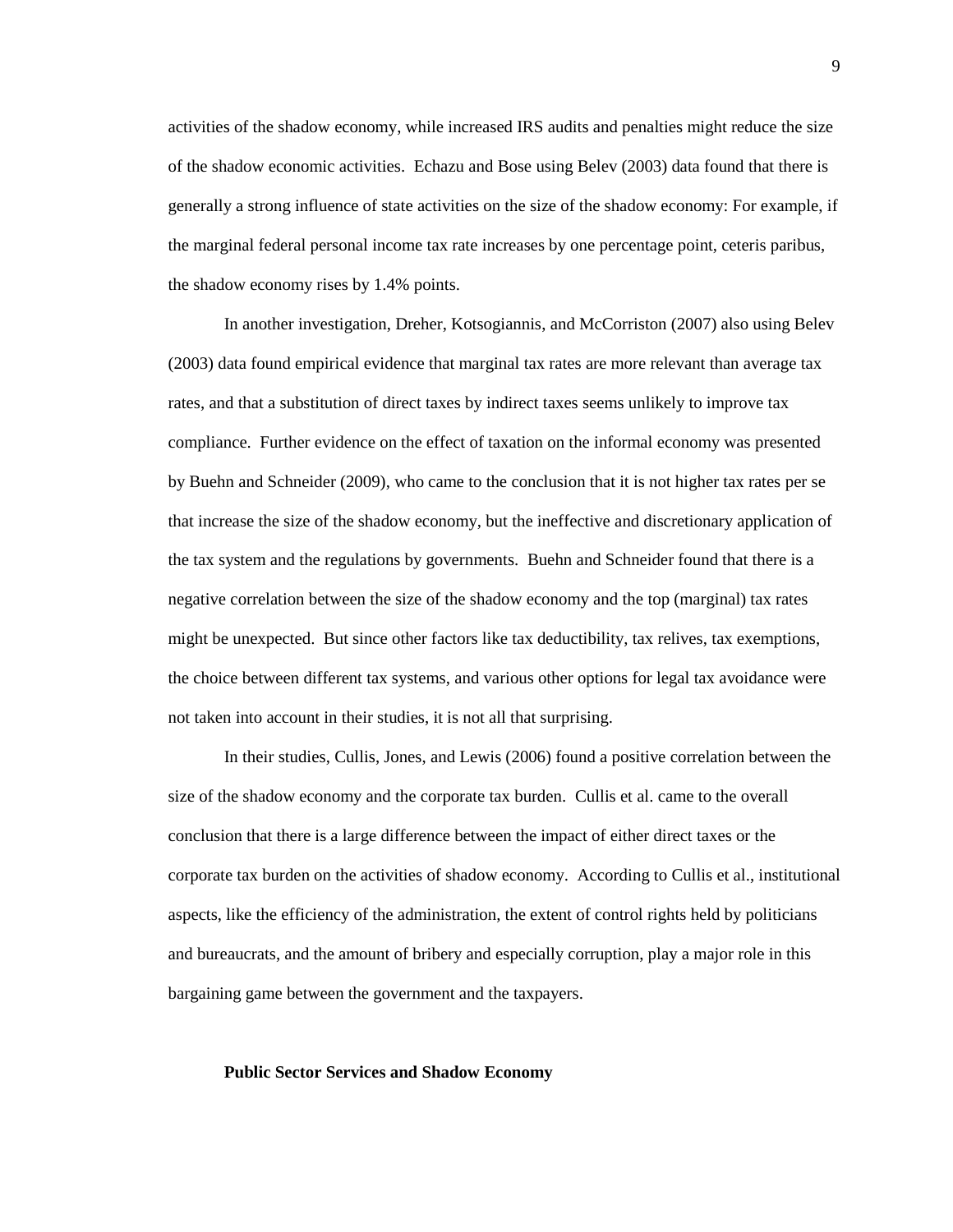activities of the shadow economy, while increased IRS audits and penalties might reduce the size of the shadow economic activities. Echazu and Bose using Belev (2003) data found that there is generally a strong influence of state activities on the size of the shadow economy: For example, if the marginal federal personal income tax rate increases by one percentage point, ceteris paribus, the shadow economy rises by 1.4% points.

In another investigation, Dreher, Kotsogiannis, and McCorriston (2007) also using Belev (2003) data found empirical evidence that marginal tax rates are more relevant than average tax rates, and that a substitution of direct taxes by indirect taxes seems unlikely to improve tax compliance. Further evidence on the effect of taxation on the informal economy was presented by Buehn and Schneider (2009), who came to the conclusion that it is not higher tax rates per se that increase the size of the shadow economy, but the ineffective and discretionary application of the tax system and the regulations by governments. Buehn and Schneider found that there is a negative correlation between the size of the shadow economy and the top (marginal) tax rates might be unexpected. But since other factors like tax deductibility, tax relives, tax exemptions, the choice between different tax systems, and various other options for legal tax avoidance were not taken into account in their studies, it is not all that surprising.

In their studies, Cullis, Jones, and Lewis (2006) found a positive correlation between the size of the shadow economy and the corporate tax burden. Cullis et al. came to the overall conclusion that there is a large difference between the impact of either direct taxes or the corporate tax burden on the activities of shadow economy. According to Cullis et al., institutional aspects, like the efficiency of the administration, the extent of control rights held by politicians and bureaucrats, and the amount of bribery and especially corruption, play a major role in this bargaining game between the government and the taxpayers.

#### **Public Sector Services and Shadow Economy**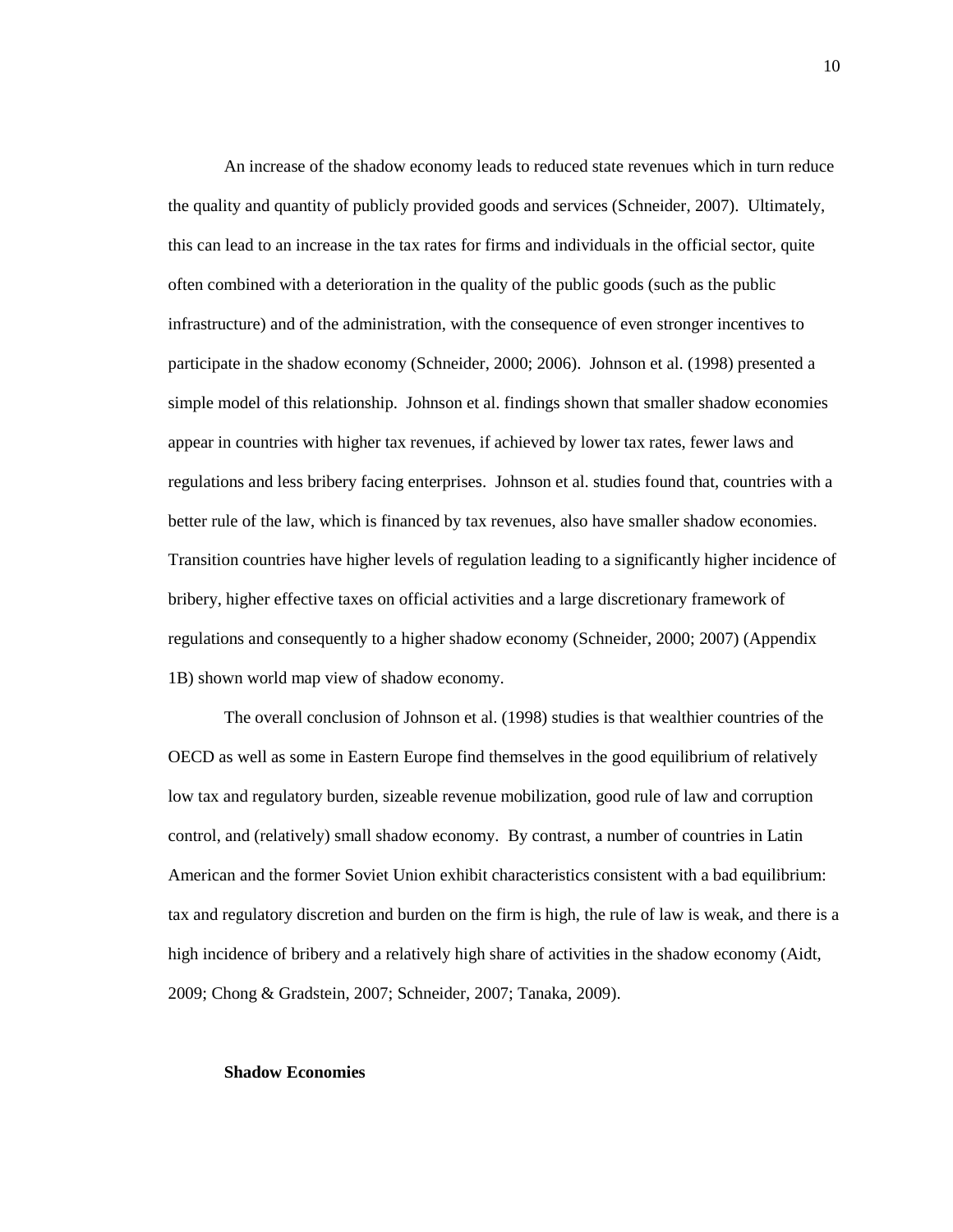An increase of the shadow economy leads to reduced state revenues which in turn reduce the quality and quantity of publicly provided goods and services (Schneider, 2007). Ultimately, this can lead to an increase in the tax rates for firms and individuals in the official sector, quite often combined with a deterioration in the quality of the public goods (such as the public infrastructure) and of the administration, with the consequence of even stronger incentives to participate in the shadow economy (Schneider, 2000; 2006). Johnson et al. (1998) presented a simple model of this relationship. Johnson et al. findings shown that smaller shadow economies appear in countries with higher tax revenues, if achieved by lower tax rates, fewer laws and regulations and less bribery facing enterprises. Johnson et al. studies found that, countries with a better rule of the law, which is financed by tax revenues, also have smaller shadow economies. Transition countries have higher levels of regulation leading to a significantly higher incidence of bribery, higher effective taxes on official activities and a large discretionary framework of regulations and consequently to a higher shadow economy (Schneider, 2000; 2007) (Appendix 1B) shown world map view of shadow economy.

The overall conclusion of Johnson et al. (1998) studies is that wealthier countries of the OECD as well as some in Eastern Europe find themselves in the good equilibrium of relatively low tax and regulatory burden, sizeable revenue mobilization, good rule of law and corruption control, and (relatively) small shadow economy. By contrast, a number of countries in Latin American and the former Soviet Union exhibit characteristics consistent with a bad equilibrium: tax and regulatory discretion and burden on the firm is high, the rule of law is weak, and there is a high incidence of bribery and a relatively high share of activities in the shadow economy (Aidt, 2009; Chong & Gradstein, 2007; Schneider, 2007; Tanaka, 2009).

#### **Shadow Economies**

10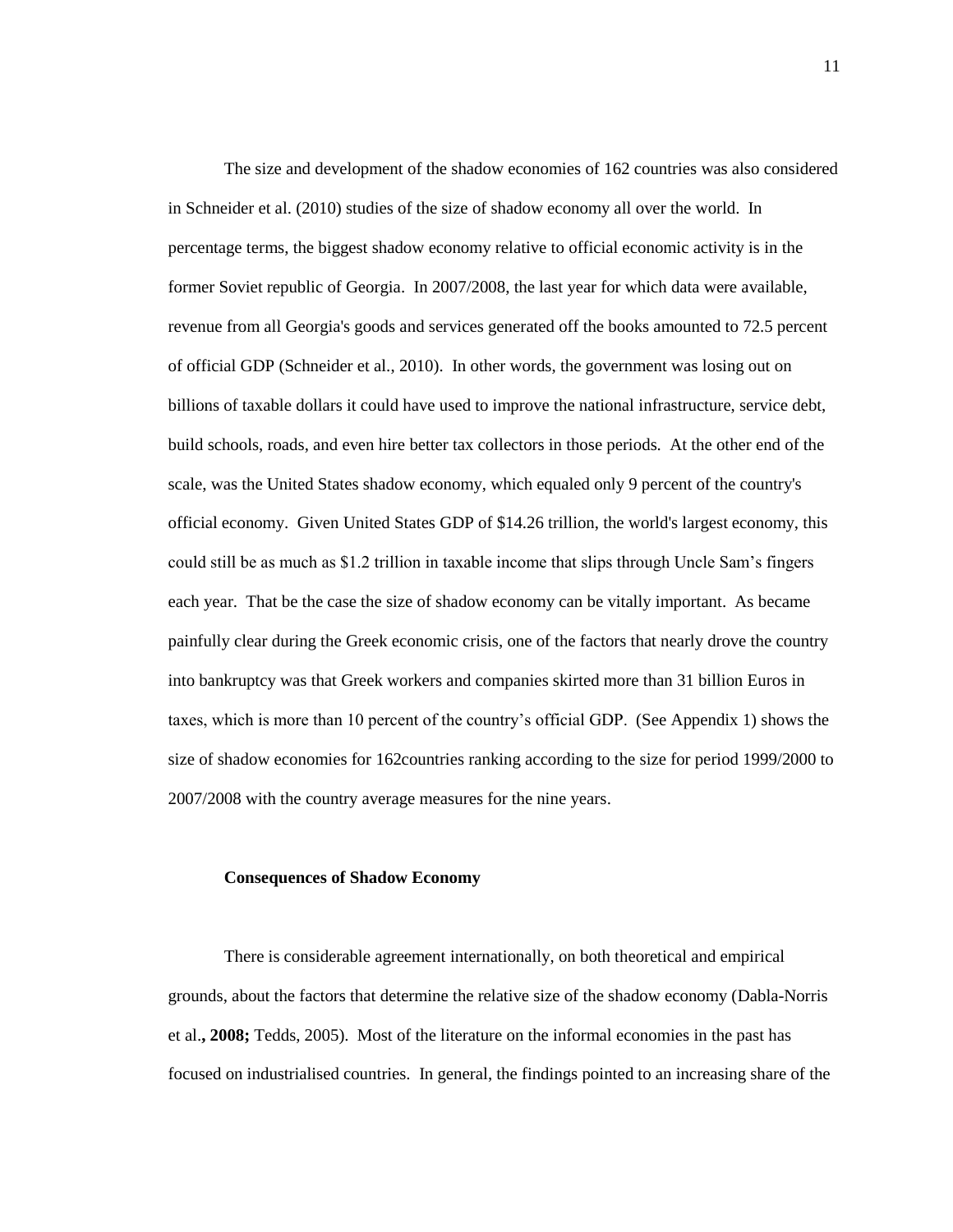The size and development of the shadow economies of 162 countries was also considered in Schneider et al. (2010) studies of the size of shadow economy all over the world. In percentage terms, the biggest shadow economy relative to official economic activity is in the former Soviet republic of Georgia. In 2007/2008, the last year for which data were available, revenue from all Georgia's goods and services generated off the books amounted to 72.5 percent of official GDP (Schneider et al., 2010). In other words, the government was losing out on billions of taxable dollars it could have used to improve the national infrastructure, service debt, build schools, roads, and even hire better tax collectors in those periods. At the other end of the scale, was the United States shadow economy, which equaled only 9 percent of the country's official economy. Given United States GDP of \$14.26 trillion, the world's largest economy, this could still be as much as \$1.2 trillion in taxable income that slips through Uncle Sam's fingers each year. That be the case the size of shadow economy can be vitally important. As became painfully clear during the Greek economic crisis, one of the factors that nearly drove the country into bankruptcy was that Greek workers and companies skirted more than 31 billion Euros in taxes, which is more than 10 percent of the country's official GDP. (See Appendix 1) shows the size of shadow economies for 162countries ranking according to the size for period 1999/2000 to 2007/2008 with the country average measures for the nine years.

#### **Consequences of Shadow Economy**

There is considerable agreement internationally, on both theoretical and empirical grounds, about the factors that determine the relative size of the shadow economy (Dabla-Norris et al.**, 2008;** Tedds, 2005). Most of the literature on the informal economies in the past has focused on industrialised countries. In general, the findings pointed to an increasing share of the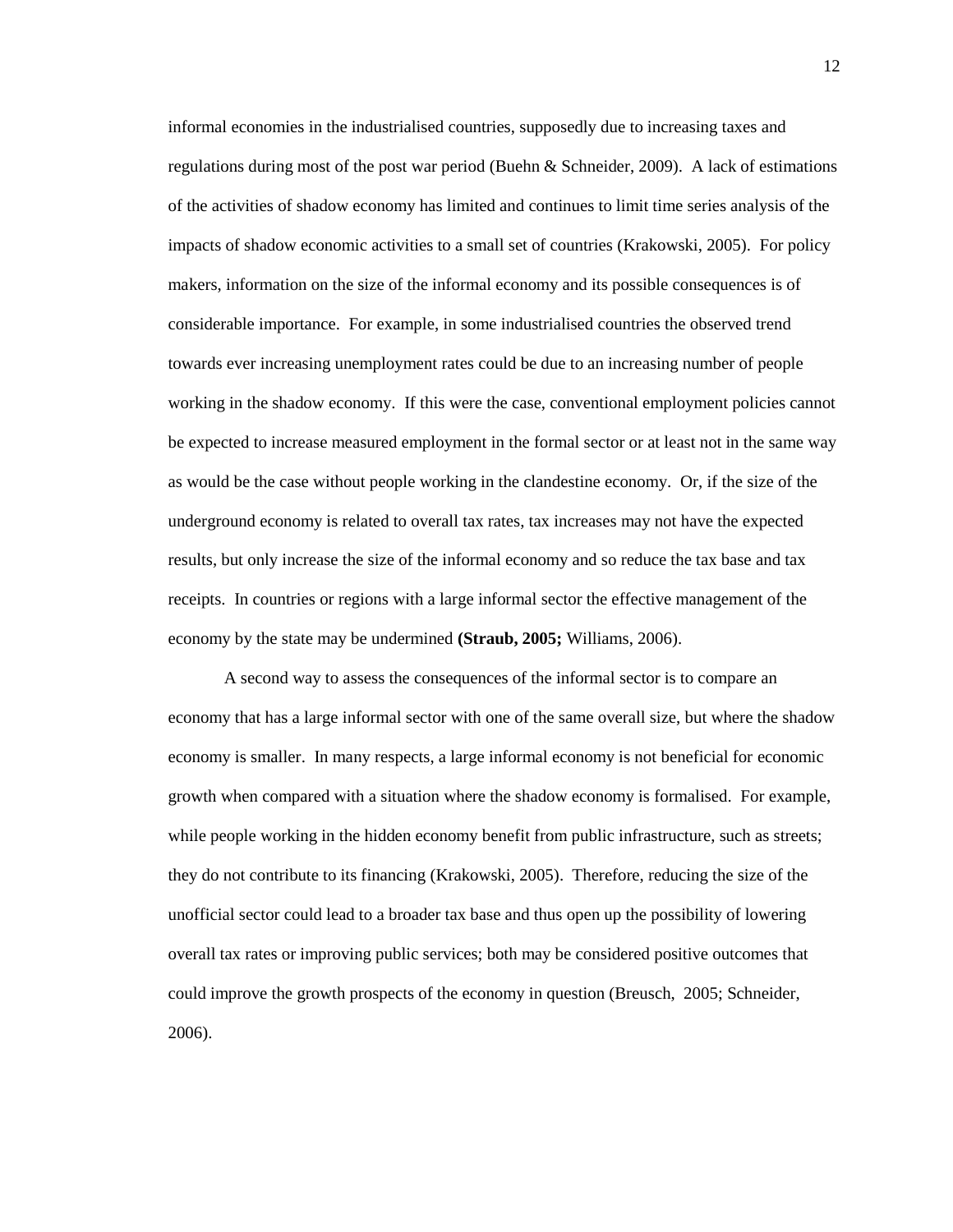informal economies in the industrialised countries, supposedly due to increasing taxes and regulations during most of the post war period (Buehn  $\&$  Schneider, 2009). A lack of estimations of the activities of shadow economy has limited and continues to limit time series analysis of the impacts of shadow economic activities to a small set of countries (Krakowski, 2005). For policy makers, information on the size of the informal economy and its possible consequences is of considerable importance. For example, in some industrialised countries the observed trend towards ever increasing unemployment rates could be due to an increasing number of people working in the shadow economy. If this were the case, conventional employment policies cannot be expected to increase measured employment in the formal sector or at least not in the same way as would be the case without people working in the clandestine economy. Or, if the size of the underground economy is related to overall tax rates, tax increases may not have the expected results, but only increase the size of the informal economy and so reduce the tax base and tax receipts. In countries or regions with a large informal sector the effective management of the economy by the state may be undermined **(Straub, 2005;** Williams, 2006).

A second way to assess the consequences of the informal sector is to compare an economy that has a large informal sector with one of the same overall size, but where the shadow economy is smaller. In many respects, a large informal economy is not beneficial for economic growth when compared with a situation where the shadow economy is formalised. For example, while people working in the hidden economy benefit from public infrastructure, such as streets; they do not contribute to its financing (Krakowski, 2005). Therefore, reducing the size of the unofficial sector could lead to a broader tax base and thus open up the possibility of lowering overall tax rates or improving public services; both may be considered positive outcomes that could improve the growth prospects of the economy in question (Breusch, 2005; Schneider, 2006).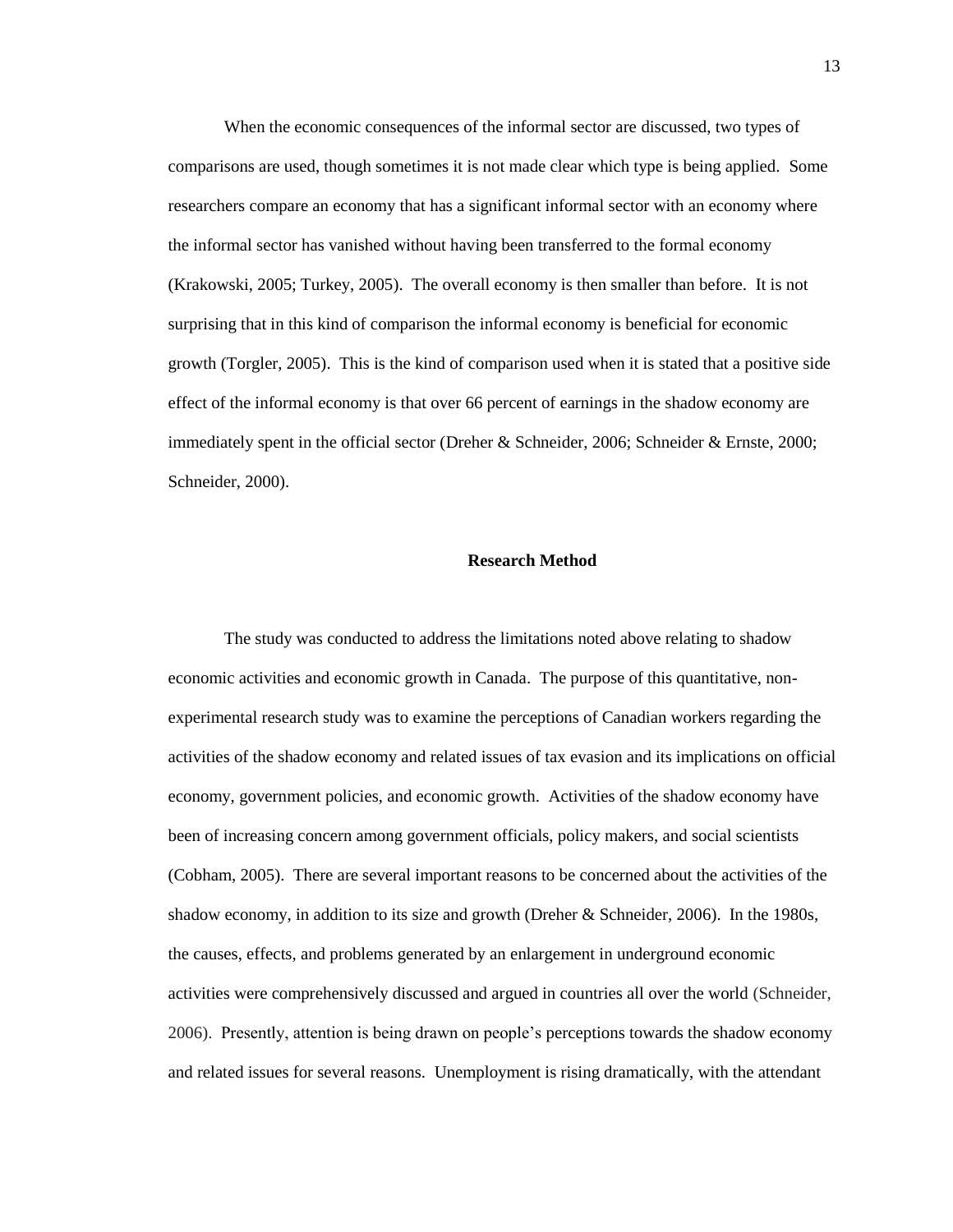When the economic consequences of the informal sector are discussed, two types of comparisons are used, though sometimes it is not made clear which type is being applied. Some researchers compare an economy that has a significant informal sector with an economy where the informal sector has vanished without having been transferred to the formal economy (Krakowski, 2005; Turkey, 2005). The overall economy is then smaller than before. It is not surprising that in this kind of comparison the informal economy is beneficial for economic growth (Torgler, 2005). This is the kind of comparison used when it is stated that a positive side effect of the informal economy is that over 66 percent of earnings in the shadow economy are immediately spent in the official sector (Dreher & Schneider, 2006; Schneider & Ernste, 2000; Schneider, 2000).

#### **Research Method**

The study was conducted to address the limitations noted above relating to shadow economic activities and economic growth in Canada. The purpose of this quantitative, nonexperimental research study was to examine the perceptions of Canadian workers regarding the activities of the shadow economy and related issues of tax evasion and its implications on official economy, government policies, and economic growth. Activities of the shadow economy have been of increasing concern among government officials, policy makers, and social scientists (Cobham, 2005). There are several important reasons to be concerned about the activities of the shadow economy, in addition to its size and growth (Dreher & Schneider, 2006). In the 1980s, the causes, effects, and problems generated by an enlargement in underground economic activities were comprehensively discussed and argued in countries all over the world (Schneider, 2006). Presently, attention is being drawn on people's perceptions towards the shadow economy and related issues for several reasons. Unemployment is rising dramatically, with the attendant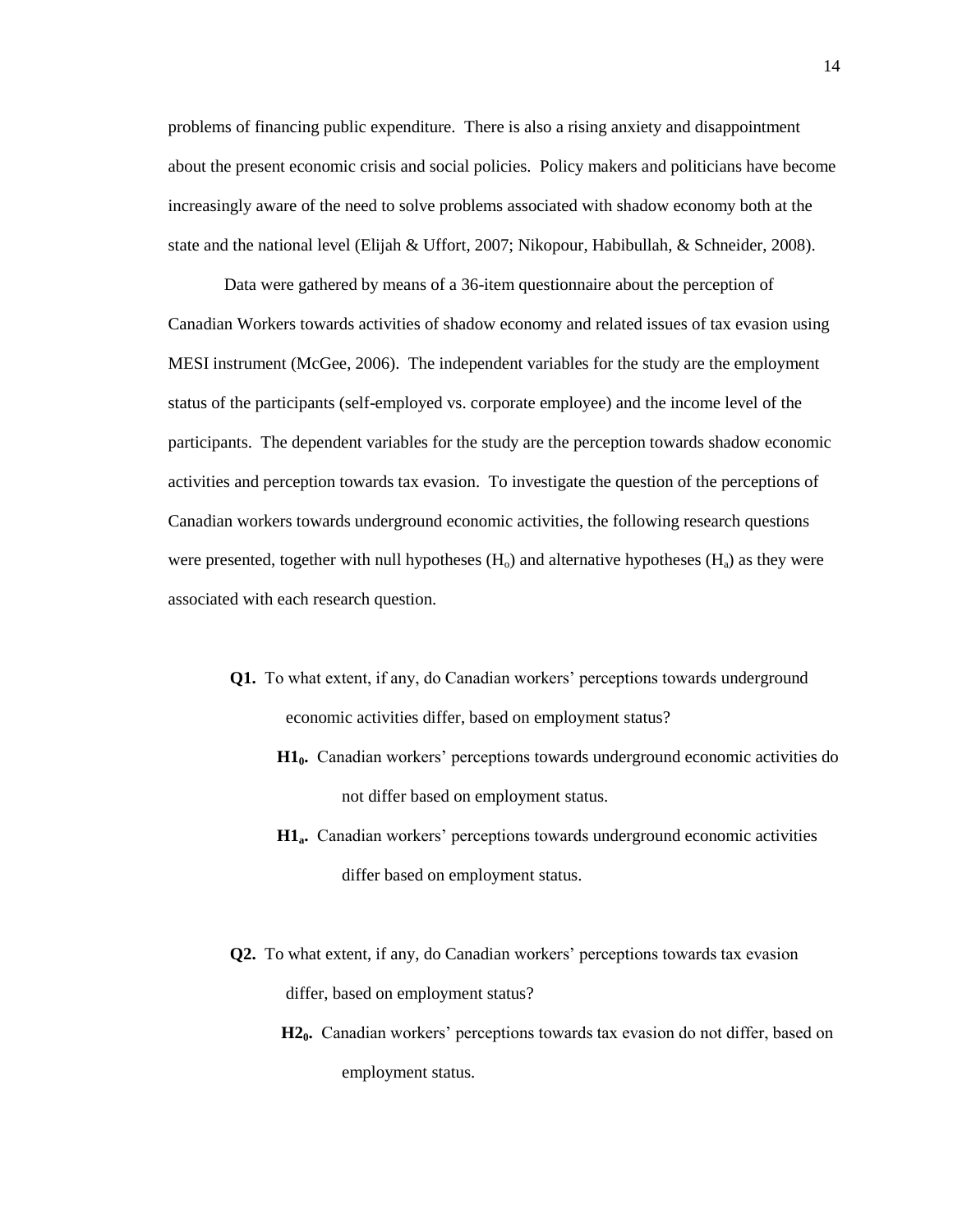problems of financing public expenditure. There is also a rising anxiety and disappointment about the present economic crisis and social policies. Policy makers and politicians have become increasingly aware of the need to solve problems associated with shadow economy both at the state and the national level (Elijah & Uffort, 2007; Nikopour, Habibullah, & Schneider, 2008).

Data were gathered by means of a 36-item questionnaire about the perception of Canadian Workers towards activities of shadow economy and related issues of tax evasion using MESI instrument (McGee, 2006). The independent variables for the study are the employment status of the participants (self-employed vs. corporate employee) and the income level of the participants. The dependent variables for the study are the perception towards shadow economic activities and perception towards tax evasion. To investigate the question of the perceptions of Canadian workers towards underground economic activities, the following research questions were presented, together with null hypotheses  $(H<sub>o</sub>)$  and alternative hypotheses  $(H<sub>a</sub>)$  as they were associated with each research question.

- **Q1.** To what extent, if any, do Canadian workers' perceptions towards underground economic activities differ, based on employment status?
	- **H10.** Canadian workers' perceptions towards underground economic activities do not differ based on employment status.
	- **H1a.** Canadian workers' perceptions towards underground economic activities differ based on employment status.
- **Q2.** To what extent, if any, do Canadian workers' perceptions towards tax evasion differ, based on employment status?
	- **H20.** Canadian workers' perceptions towards tax evasion do not differ, based on employment status.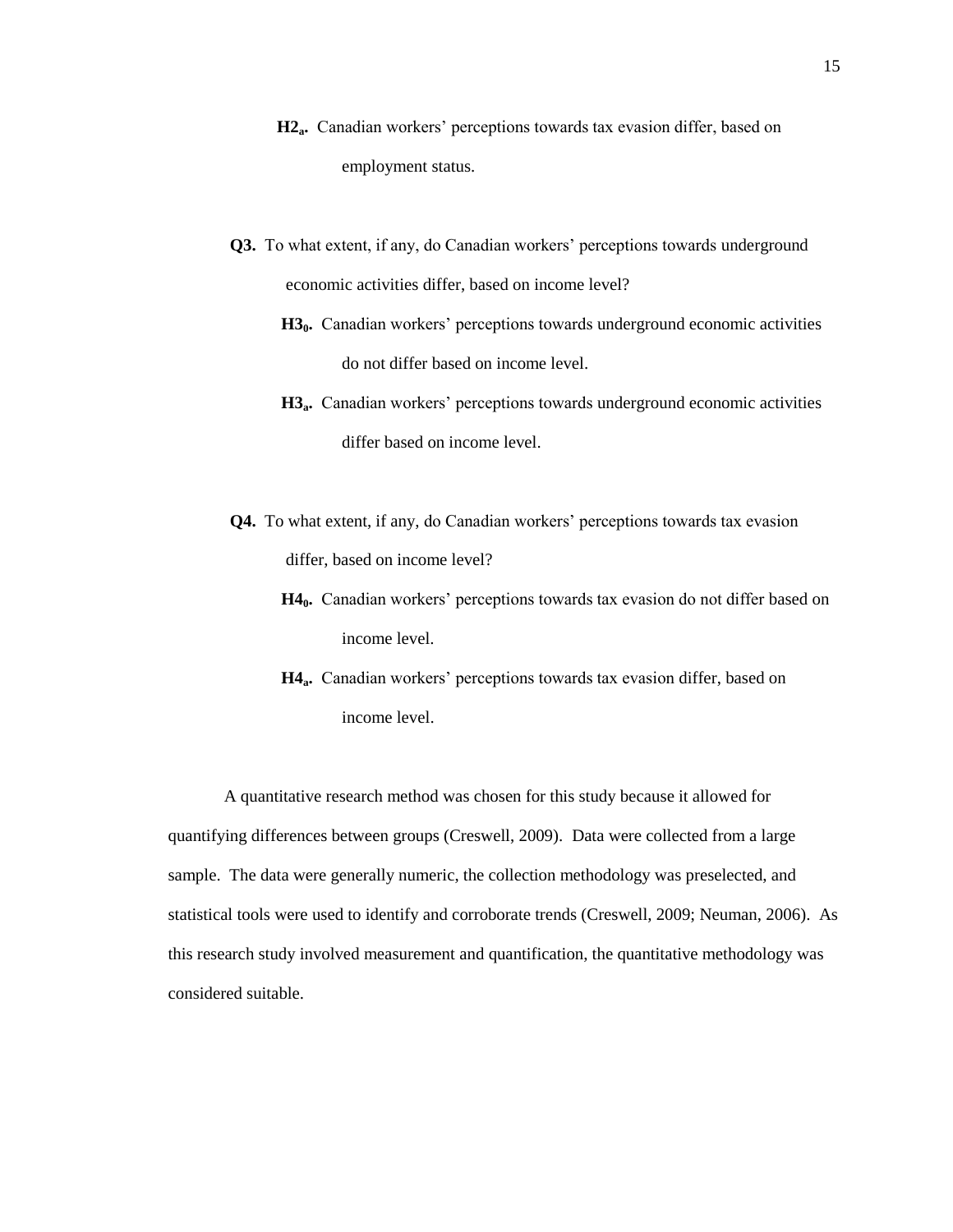- **H2a.** Canadian workers' perceptions towards tax evasion differ, based on employment status.
- **Q3.** To what extent, if any, do Canadian workers' perceptions towards underground economic activities differ, based on income level?
	- **H30.** Canadian workers' perceptions towards underground economic activities do not differ based on income level.
	- **H3**<sup>a</sup>. Canadian workers' perceptions towards underground economic activities differ based on income level.
- **Q4.** To what extent, if any, do Canadian workers' perceptions towards tax evasion differ, based on income level?
	- **H40.** Canadian workers' perceptions towards tax evasion do not differ based on income level.
	- **H4**<sup>a</sup>**.** Canadian workers' perceptions towards tax evasion differ, based on income level.

A quantitative research method was chosen for this study because it allowed for quantifying differences between groups (Creswell, 2009). Data were collected from a large sample. The data were generally numeric, the collection methodology was preselected, and statistical tools were used to identify and corroborate trends (Creswell, 2009; Neuman, 2006). As this research study involved measurement and quantification, the quantitative methodology was considered suitable.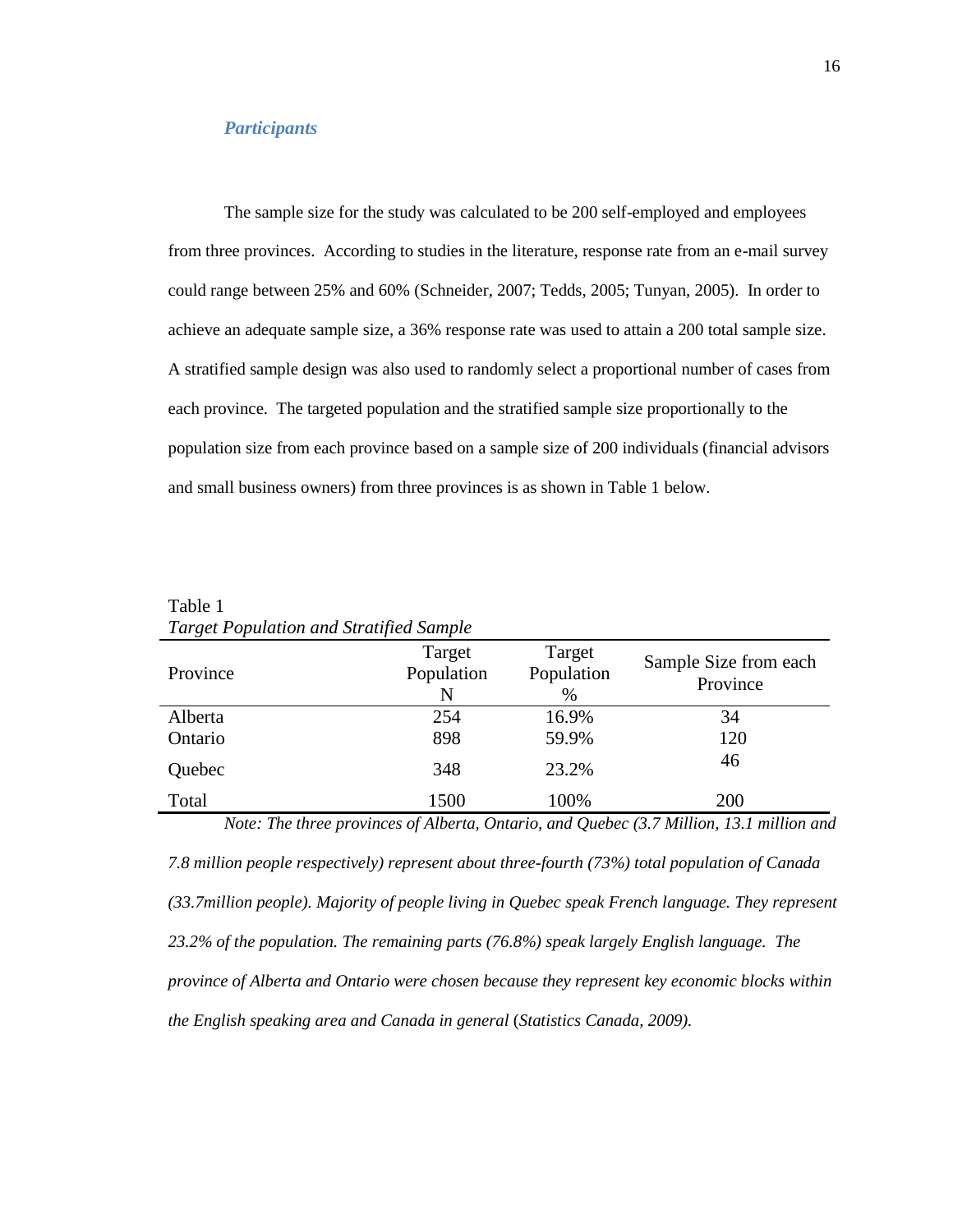## *Participants*

The sample size for the study was calculated to be 200 self-employed and employees from three provinces. According to studies in the literature, response rate from an e-mail survey could range between 25% and 60% (Schneider, 2007; Tedds, 2005; Tunyan, 2005). In order to achieve an adequate sample size, a 36% response rate was used to attain a 200 total sample size. A stratified sample design was also used to randomly select a proportional number of cases from each province. The targeted population and the stratified sample size proportionally to the population size from each province based on a sample size of 200 individuals (financial advisors and small business owners) from three provinces is as shown in Table 1 below.

| Province | Target<br>Population<br>N | Target<br>Population<br>$\%$ | Sample Size from each<br>Province                                                        |
|----------|---------------------------|------------------------------|------------------------------------------------------------------------------------------|
| Alberta  | 254                       | 16.9%                        | 34                                                                                       |
| Ontario  | 898                       | 59.9%                        | 120                                                                                      |
| Quebec   | 348                       | 23.2%                        | 46                                                                                       |
| Total    | 1500                      | 100%                         | <b>200</b>                                                                               |
|          |                           |                              | Note: The three provinces of Alberta, Ontario, and Quebec (3.7 Million, 13.1 million and |

Table 1 *Target Population and Stratified Sample*

*7.8 million people respectively) represent about three-fourth (73%) total population of Canada (33.7million people). Majority of people living in Quebec speak French language. They represent 23.2% of the population. The remaining parts (76.8%) speak largely English language. The province of Alberta and Ontario were chosen because they represent key economic blocks within the English speaking area and Canada in general* (*Statistics Canada, 2009).*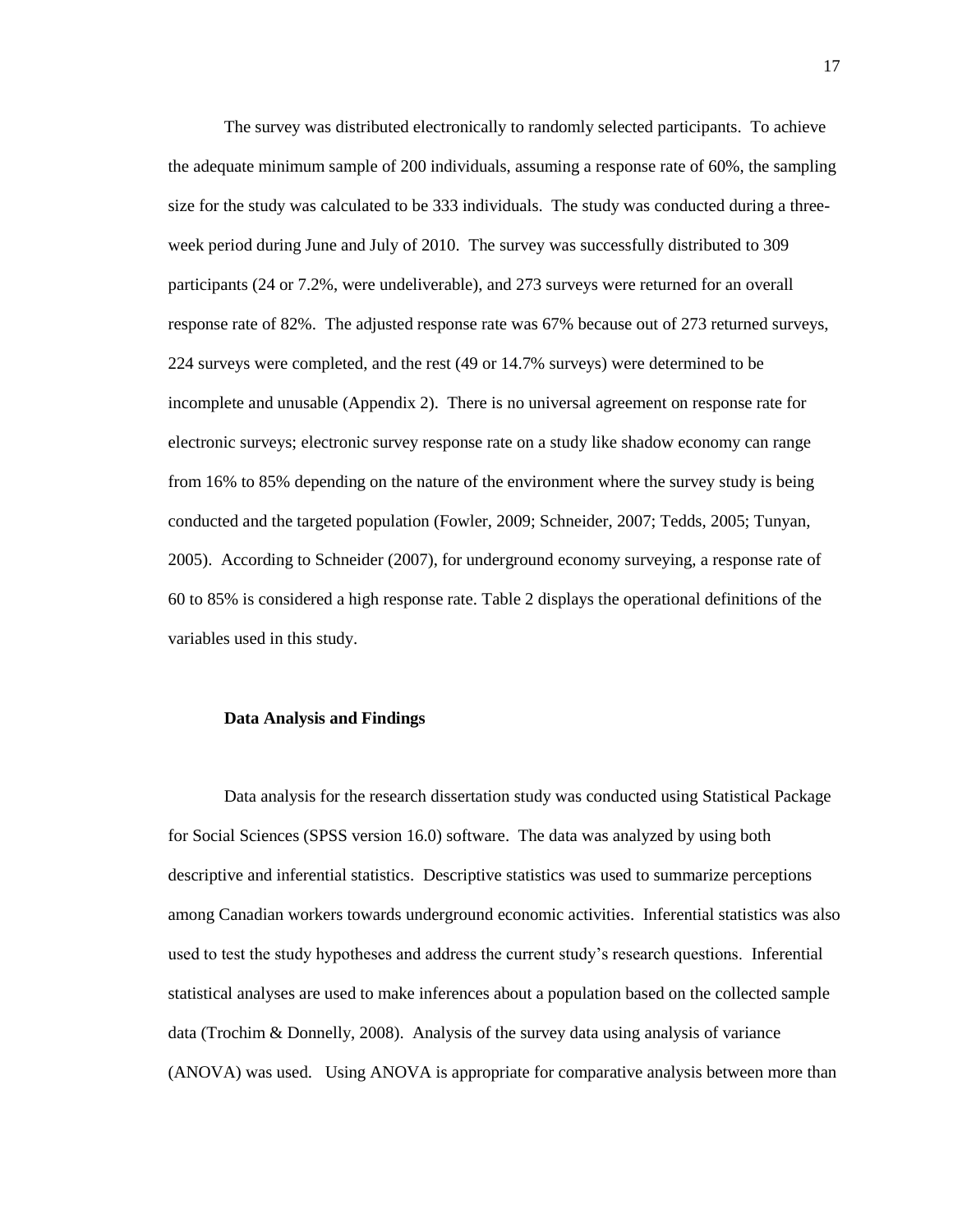The survey was distributed electronically to randomly selected participants. To achieve the adequate minimum sample of 200 individuals, assuming a response rate of 60%, the sampling size for the study was calculated to be 333 individuals. The study was conducted during a threeweek period during June and July of 2010. The survey was successfully distributed to 309 participants (24 or 7.2%, were undeliverable), and 273 surveys were returned for an overall response rate of 82%. The adjusted response rate was 67% because out of 273 returned surveys, 224 surveys were completed, and the rest (49 or 14.7% surveys) were determined to be incomplete and unusable (Appendix 2). There is no universal agreement on response rate for electronic surveys; electronic survey response rate on a study like shadow economy can range from 16% to 85% depending on the nature of the environment where the survey study is being conducted and the targeted population (Fowler, 2009; Schneider, 2007; Tedds, 2005; Tunyan, 2005). According to Schneider (2007), for underground economy surveying, a response rate of 60 to 85% is considered a high response rate. Table 2 displays the operational definitions of the variables used in this study.

#### **Data Analysis and Findings**

Data analysis for the research dissertation study was conducted using Statistical Package for Social Sciences (SPSS version 16.0) software. The data was analyzed by using both descriptive and inferential statistics. Descriptive statistics was used to summarize perceptions among Canadian workers towards underground economic activities. Inferential statistics was also used to test the study hypotheses and address the current study's research questions. Inferential statistical analyses are used to make inferences about a population based on the collected sample data (Trochim & Donnelly, 2008). Analysis of the survey data using analysis of variance (ANOVA) was used. Using ANOVA is appropriate for comparative analysis between more than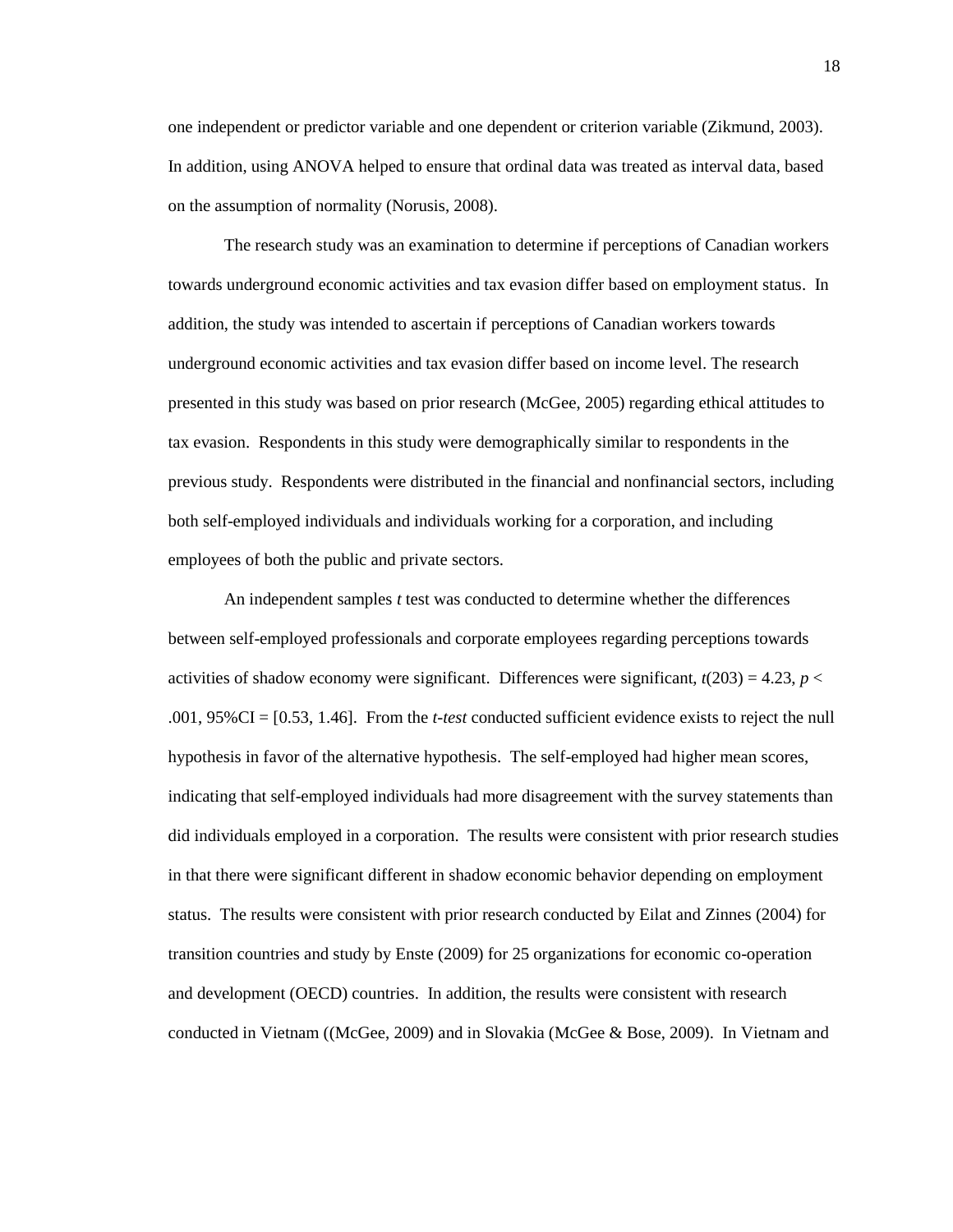one independent or predictor variable and one dependent or criterion variable (Zikmund, 2003). In addition, using ANOVA helped to ensure that ordinal data was treated as interval data, based on the assumption of normality (Norusis, 2008).

The research study was an examination to determine if perceptions of Canadian workers towards underground economic activities and tax evasion differ based on employment status. In addition, the study was intended to ascertain if perceptions of Canadian workers towards underground economic activities and tax evasion differ based on income level. The research presented in this study was based on prior research (McGee, 2005) regarding ethical attitudes to tax evasion. Respondents in this study were demographically similar to respondents in the previous study. Respondents were distributed in the financial and nonfinancial sectors, including both self-employed individuals and individuals working for a corporation, and including employees of both the public and private sectors.

An independent samples *t* test was conducted to determine whether the differences between self-employed professionals and corporate employees regarding perceptions towards activities of shadow economy were significant. Differences were significant,  $t(203) = 4.23$ ,  $p <$ .001, 95%CI = [0.53, 1.46]. From the *t-test* conducted sufficient evidence exists to reject the null hypothesis in favor of the alternative hypothesis. The self-employed had higher mean scores, indicating that self-employed individuals had more disagreement with the survey statements than did individuals employed in a corporation. The results were consistent with prior research studies in that there were significant different in shadow economic behavior depending on employment status. The results were consistent with prior research conducted by Eilat and Zinnes (2004) for transition countries and study by Enste (2009) for 25 organizations for economic co-operation and development (OECD) countries. In addition, the results were consistent with research conducted in Vietnam ((McGee, 2009) and in Slovakia (McGee & Bose, 2009). In Vietnam and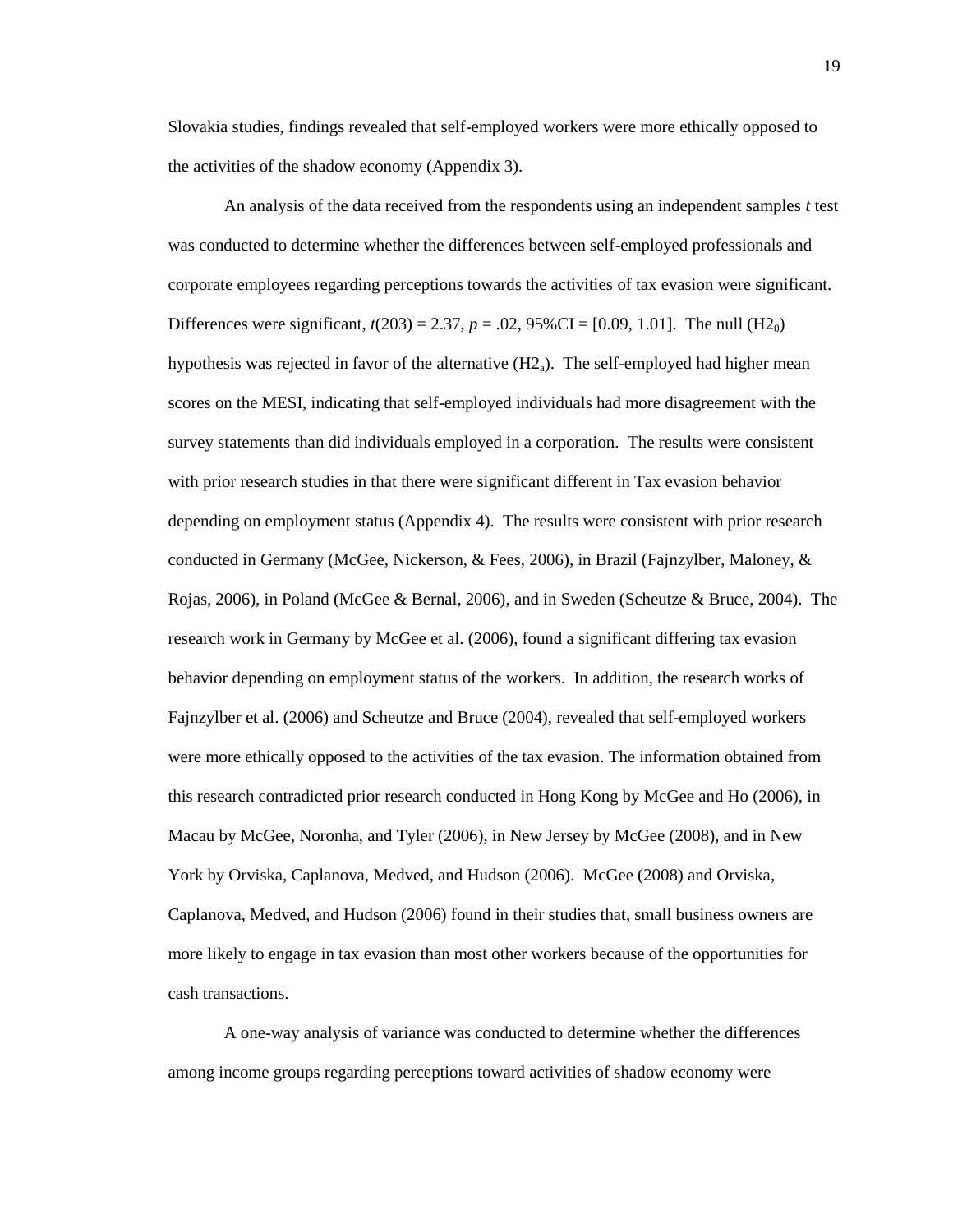Slovakia studies, findings revealed that self-employed workers were more ethically opposed to the activities of the shadow economy (Appendix 3).

An analysis of the data received from the respondents using an independent samples *t* test was conducted to determine whether the differences between self-employed professionals and corporate employees regarding perceptions towards the activities of tax evasion were significant. Differences were significant,  $t(203) = 2.37$ ,  $p = .02$ , 95%CI = [0.09, 1.01]. The null (H2<sub>0</sub>) hypothesis was rejected in favor of the alternative  $(H2<sub>a</sub>)$ . The self-employed had higher mean scores on the MESI, indicating that self-employed individuals had more disagreement with the survey statements than did individuals employed in a corporation. The results were consistent with prior research studies in that there were significant different in Tax evasion behavior depending on employment status (Appendix 4). The results were consistent with prior research conducted in Germany (McGee, Nickerson, & Fees, 2006), in Brazil (Fajnzylber, Maloney, & Rojas, 2006), in Poland (McGee & Bernal, 2006), and in Sweden (Scheutze & Bruce, 2004). The research work in Germany by McGee et al. (2006), found a significant differing tax evasion behavior depending on employment status of the workers. In addition, the research works of Fajnzylber et al. (2006) and Scheutze and Bruce (2004), revealed that self-employed workers were more ethically opposed to the activities of the tax evasion. The information obtained from this research contradicted prior research conducted in Hong Kong by McGee and Ho (2006), in Macau by McGee, Noronha, and Tyler (2006), in New Jersey by McGee (2008), and in New York by Orviska, Caplanova, Medved, and Hudson (2006). McGee (2008) and Orviska, Caplanova, Medved, and Hudson (2006) found in their studies that, small business owners are more likely to engage in tax evasion than most other workers because of the opportunities for cash transactions.

A one-way analysis of variance was conducted to determine whether the differences among income groups regarding perceptions toward activities of shadow economy were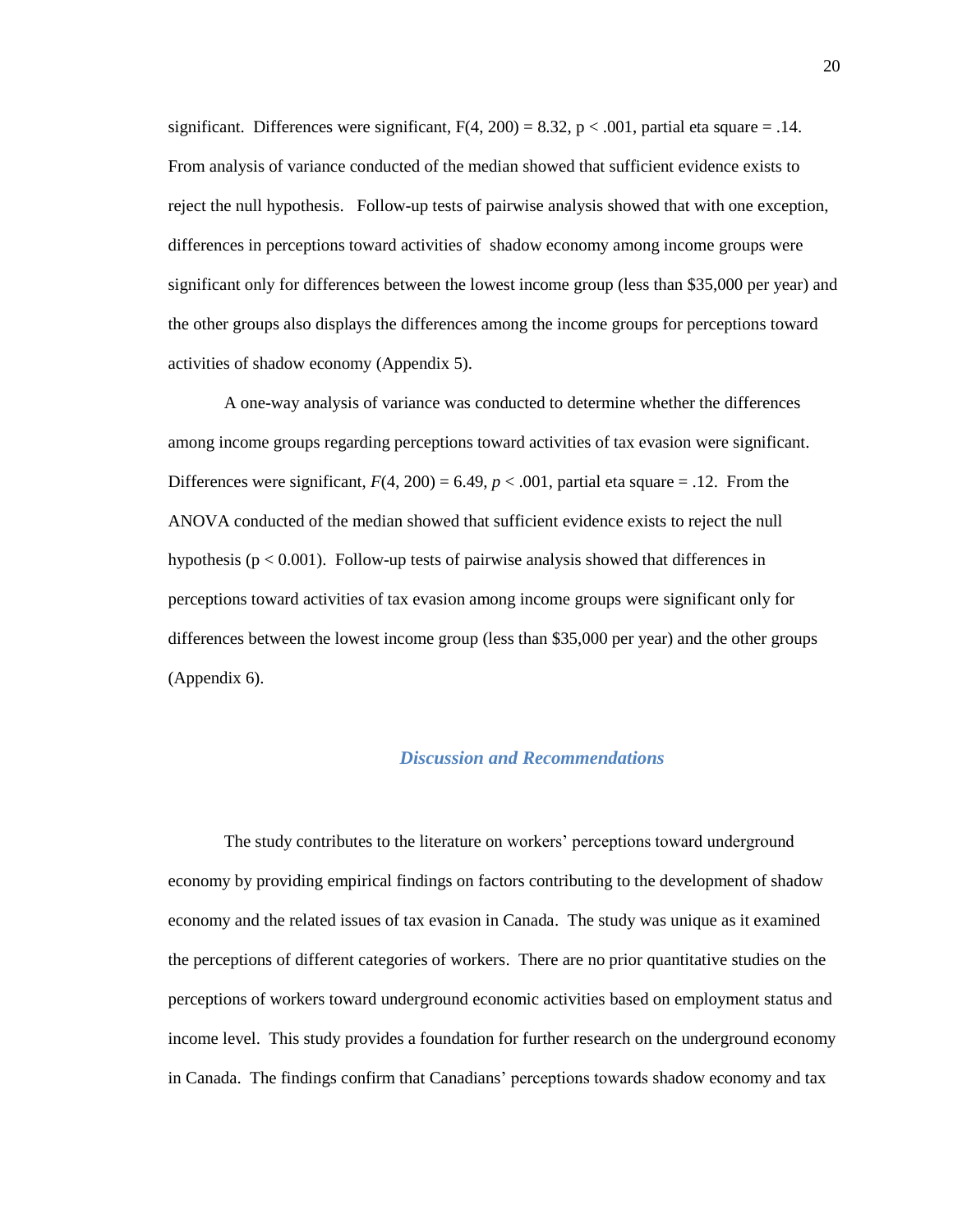significant. Differences were significant,  $F(4, 200) = 8.32$ ,  $p < .001$ , partial eta square = .14. From analysis of variance conducted of the median showed that sufficient evidence exists to reject the null hypothesis. Follow-up tests of pairwise analysis showed that with one exception, differences in perceptions toward activities of shadow economy among income groups were significant only for differences between the lowest income group (less than \$35,000 per year) and the other groups also displays the differences among the income groups for perceptions toward activities of shadow economy (Appendix 5).

A one-way analysis of variance was conducted to determine whether the differences among income groups regarding perceptions toward activities of tax evasion were significant. Differences were significant,  $F(4, 200) = 6.49$ ,  $p < .001$ , partial eta square = .12. From the ANOVA conducted of the median showed that sufficient evidence exists to reject the null hypothesis ( $p < 0.001$ ). Follow-up tests of pairwise analysis showed that differences in perceptions toward activities of tax evasion among income groups were significant only for differences between the lowest income group (less than \$35,000 per year) and the other groups (Appendix 6).

### *Discussion and Recommendations*

The study contributes to the literature on workers' perceptions toward underground economy by providing empirical findings on factors contributing to the development of shadow economy and the related issues of tax evasion in Canada. The study was unique as it examined the perceptions of different categories of workers. There are no prior quantitative studies on the perceptions of workers toward underground economic activities based on employment status and income level. This study provides a foundation for further research on the underground economy in Canada. The findings confirm that Canadians' perceptions towards shadow economy and tax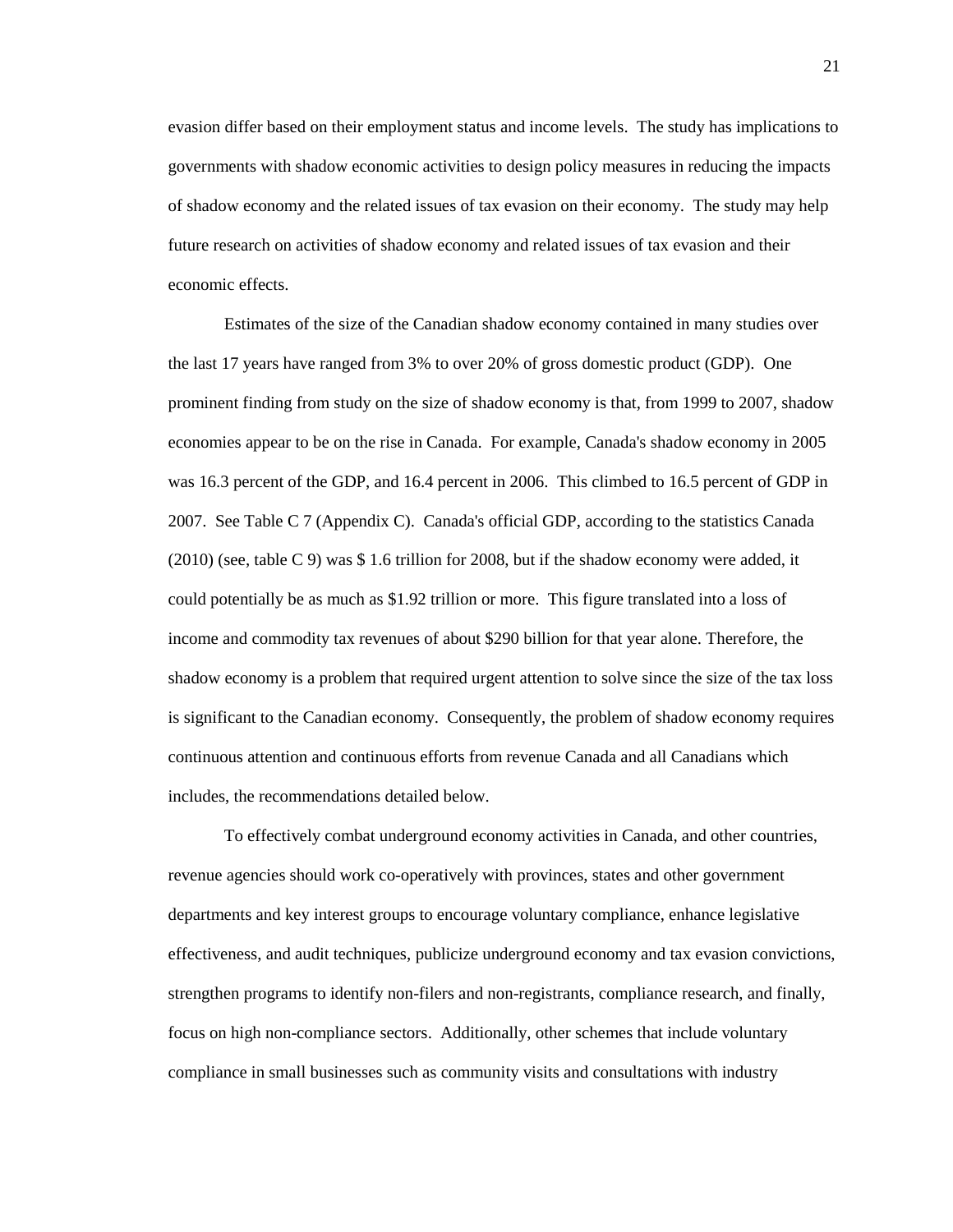evasion differ based on their employment status and income levels. The study has implications to governments with shadow economic activities to design policy measures in reducing the impacts of shadow economy and the related issues of tax evasion on their economy. The study may help future research on activities of shadow economy and related issues of tax evasion and their economic effects.

Estimates of the size of the Canadian shadow economy contained in many studies over the last 17 years have ranged from 3% to over 20% of gross domestic product (GDP). One prominent finding from study on the size of shadow economy is that, from 1999 to 2007, shadow economies appear to be on the rise in Canada. For example, Canada's shadow economy in 2005 was 16.3 percent of the GDP, and 16.4 percent in 2006. This climbed to 16.5 percent of GDP in 2007. See Table C 7 (Appendix C). Canada's official GDP, according to the statistics Canada (2010) (see, table C 9) was \$ 1.6 trillion for 2008, but if the shadow economy were added, it could potentially be as much as \$1.92 trillion or more. This figure translated into a loss of income and commodity tax revenues of about \$290 billion for that year alone. Therefore, the shadow economy is a problem that required urgent attention to solve since the size of the tax loss is significant to the Canadian economy. Consequently, the problem of shadow economy requires continuous attention and continuous efforts from revenue Canada and all Canadians which includes, the recommendations detailed below.

To effectively combat underground economy activities in Canada, and other countries, revenue agencies should work co-operatively with provinces, states and other government departments and key interest groups to encourage voluntary compliance, enhance legislative effectiveness, and audit techniques, publicize underground economy and tax evasion convictions, strengthen programs to identify non-filers and non-registrants, compliance research, and finally, focus on high non-compliance sectors. Additionally, other schemes that include voluntary compliance in small businesses such as community visits and consultations with industry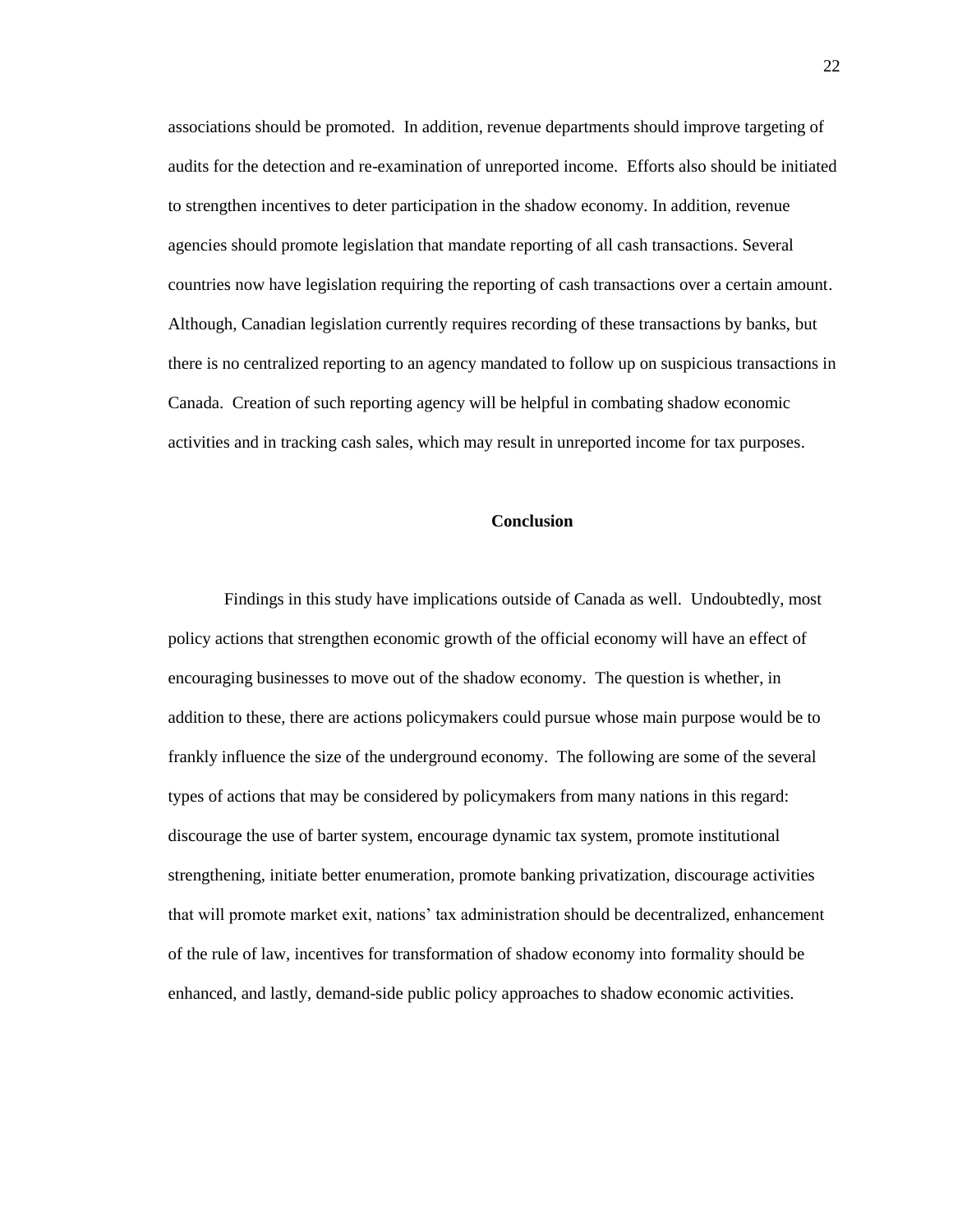associations should be promoted. In addition, revenue departments should improve targeting of audits for the detection and re-examination of unreported income. Efforts also should be initiated to strengthen incentives to deter participation in the shadow economy. In addition, revenue agencies should promote legislation that mandate reporting of all cash transactions. Several countries now have legislation requiring the reporting of cash transactions over a certain amount. Although, Canadian legislation currently requires recording of these transactions by banks, but there is no centralized reporting to an agency mandated to follow up on suspicious transactions in Canada. Creation of such reporting agency will be helpful in combating shadow economic activities and in tracking cash sales, which may result in unreported income for tax purposes.

#### **Conclusion**

Findings in this study have implications outside of Canada as well. Undoubtedly, most policy actions that strengthen economic growth of the official economy will have an effect of encouraging businesses to move out of the shadow economy. The question is whether, in addition to these, there are actions policymakers could pursue whose main purpose would be to frankly influence the size of the underground economy. The following are some of the several types of actions that may be considered by policymakers from many nations in this regard: discourage the use of barter system, encourage dynamic tax system, promote institutional strengthening, initiate better enumeration, promote banking privatization, discourage activities that will promote market exit, nations' tax administration should be decentralized, enhancement of the rule of law, incentives for transformation of shadow economy into formality should be enhanced, and lastly, demand-side public policy approaches to shadow economic activities.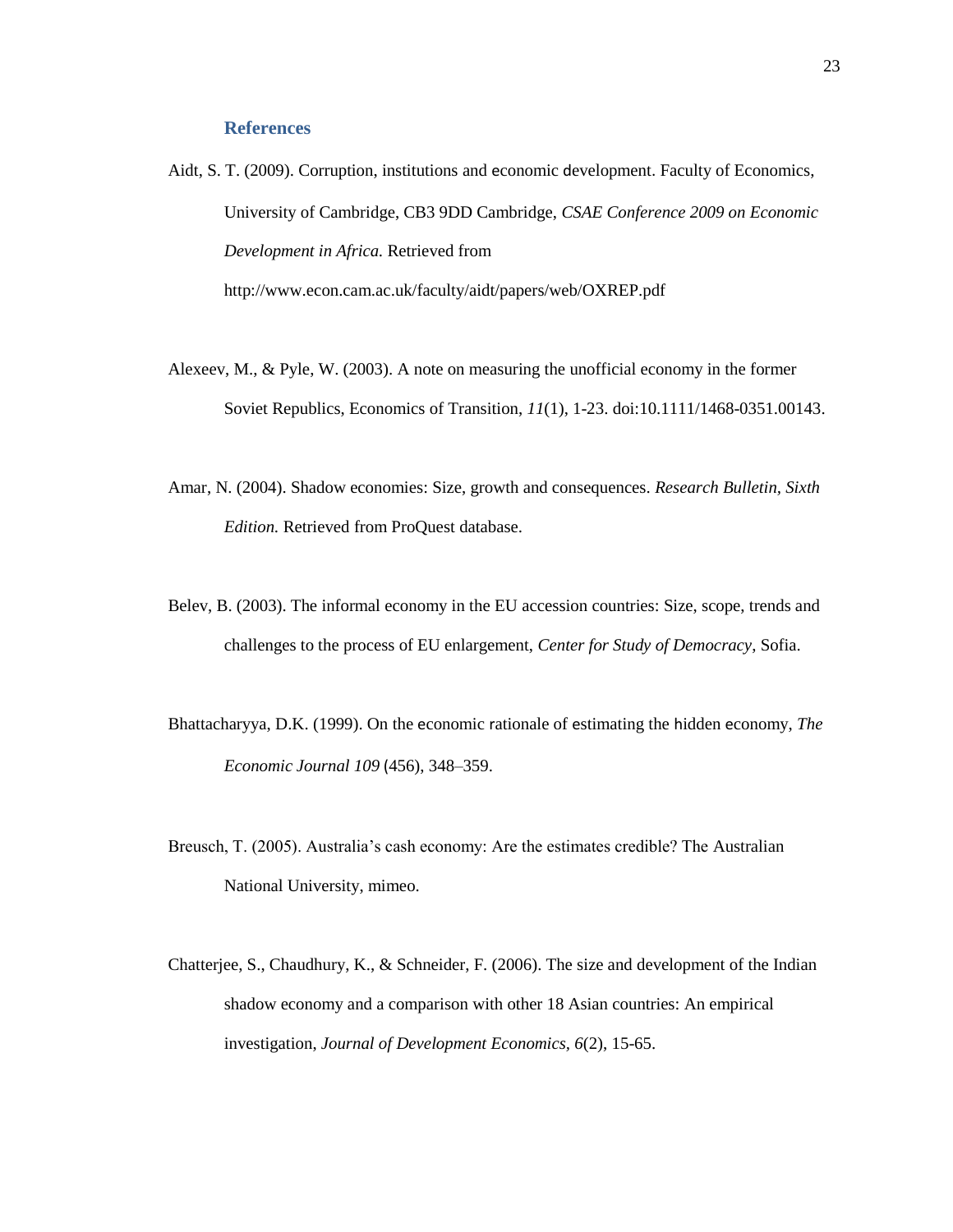## **References**

Aidt, S. T. (2009). Corruption, institutions and economic development. Faculty of Economics, University of Cambridge, CB3 9DD Cambridge, *CSAE Conference 2009 on Economic Development in Africa.* Retrieved from http://www.econ.cam.ac.uk/faculty/aidt/papers/web/OXREP.pdf

- Alexeev, M., & Pyle, W. (2003). A note on measuring the unofficial economy in the former Soviet Republics, Economics of Transition, *11*(1), 1-23. doi:10.1111/1468-0351.00143.
- Amar, N. (2004). Shadow economies: Size, growth and consequences. *Research Bulletin, Sixth Edition.* Retrieved from ProQuest database.
- Belev, B. (2003). The informal economy in the EU accession countries: Size, scope, trends and challenges to the process of EU enlargement, *Center for Study of Democracy*, Sofia.
- Bhattacharyya, D.K. (1999). On the economic rationale of estimating the hidden economy, *The Economic Journal 109* (456), 348–359.
- Breusch, T. (2005). Australia's cash economy: Are the estimates credible? The Australian National University, mimeo.
- Chatterjee, S., Chaudhury, K., & Schneider, F. (2006). The size and development of the Indian shadow economy and a comparison with other 18 Asian countries: An empirical investigation, *Journal of Development Economics, 6*(2), 15-65.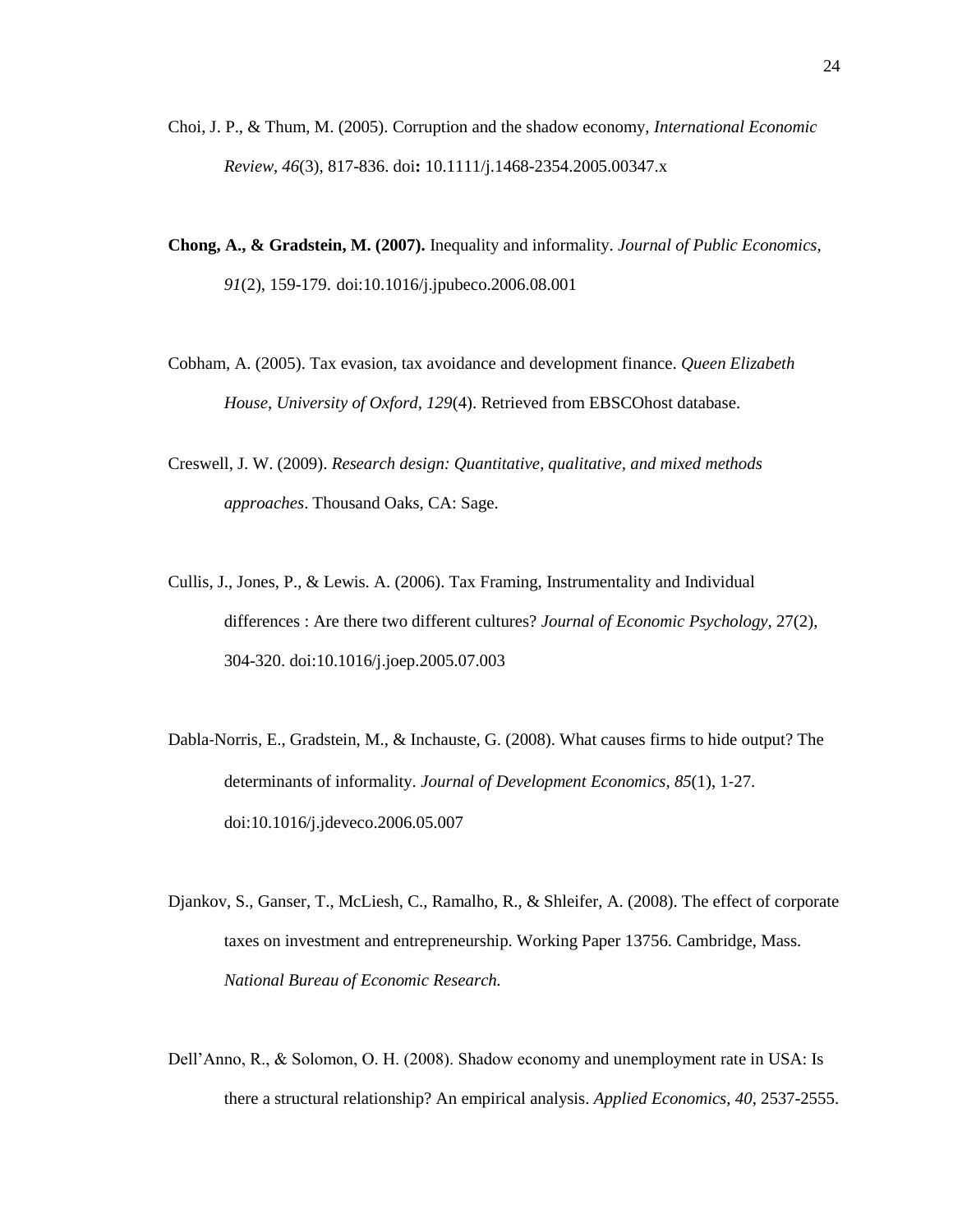- Choi, J. P., & Thum, M. (2005). Corruption and the shadow economy, *International Economic Review*, *46*(3), 817-836. doi**:** 10.1111/j.1468-2354.2005.00347.x
- **Chong, A., & Gradstein, M. (2007).** Inequality and informality. *Journal of Public Economics, 91*(2), 159-179. doi:10.1016/j.jpubeco.2006.08.001
- Cobham, A. (2005). Tax evasion, tax avoidance and development finance. *Queen Elizabeth House, University of Oxford, 129*(4). Retrieved from EBSCOhost database.
- Creswell, J. W. (2009). *Research design: Quantitative, qualitative, and mixed methods approaches*. Thousand Oaks, CA: Sage.
- Cullis, J., Jones, P., & Lewis. A. (2006). Tax Framing, Instrumentality and Individual differences : Are there two different cultures? *Journal of Economic Psychology,* 27(2), 304-320. doi:10.1016/j.joep.2005.07.003
- Dabla‐Norris, E., Gradstein, M., & Inchauste, G. (2008). What causes firms to hide output? The determinants of informality. *Journal of Development Economics, 85*(1), 1‐27. doi:10.1016/j.jdeveco.2006.05.007
- Djankov, S., Ganser, T., McLiesh, C., Ramalho, R., & Shleifer, A. (2008). The effect of corporate taxes on investment and entrepreneurship. Working Paper 13756. Cambridge, Mass. *National Bureau of Economic Research.*
- Dell'Anno, R., & Solomon, O. H. (2008). Shadow economy and unemployment rate in USA: Is there a structural relationship? An empirical analysis. *Applied Economics*, *40*, 2537-2555.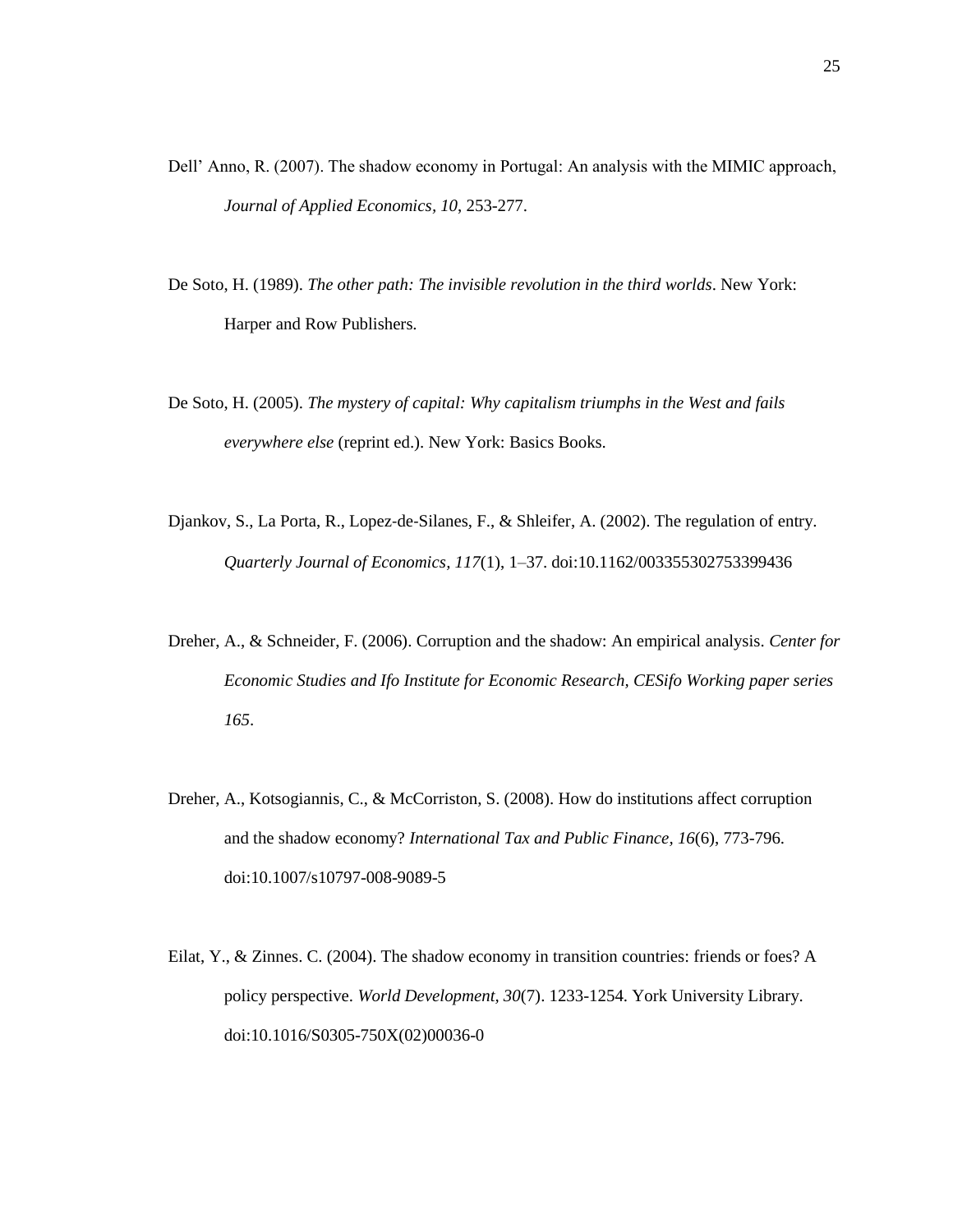- Dell' Anno, R. (2007). The shadow economy in Portugal: An analysis with the MIMIC approach, *Journal of Applied Economics, 10*, 253-277.
- De Soto, H. (1989). *The other path: The invisible revolution in the third worlds*. New York: Harper and Row Publishers.
- De Soto, H. (2005). *The mystery of capital: Why capitalism triumphs in the West and fails everywhere else* (reprint ed.). New York: Basics Books.
- Djankov, S., La Porta, R., Lopez-de-Silanes, F., & Shleifer, A. (2002). The regulation of entry. *Quarterly Journal of Economics, 117*(1), 1–37. doi:10.1162/003355302753399436
- Dreher, A., & Schneider, F. (2006). Corruption and the shadow: An empirical analysis. *Center for Economic Studies and Ifo Institute for Economic Research, CESifo Working paper series 165*.
- Dreher, A., Kotsogiannis, C., & McCorriston, S. (2008). How do institutions affect corruption and the shadow economy? *International Tax and Public Finance, 16*(6), 773-796. doi:10.1007/s10797-008-9089-5
- Eilat, Y., & Zinnes. C. (2004). The shadow economy in transition countries: friends or foes? A policy perspective. *World Development, 30*(7). 1233-1254. York University Library. doi:10.1016/S0305-750X(02)00036-0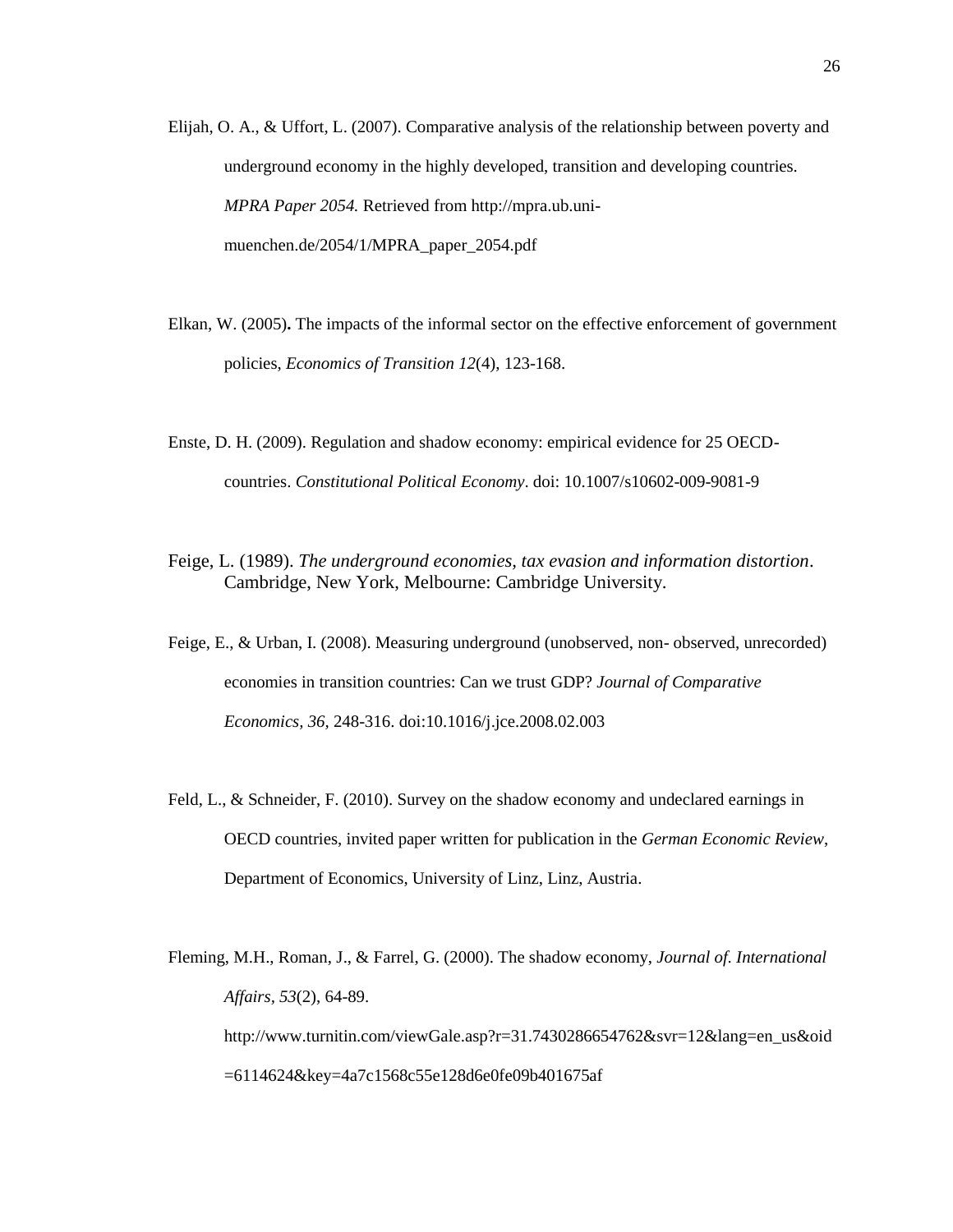- Elijah, O. A., & Uffort, L. (2007). Comparative analysis of the relationship between poverty and underground economy in the highly developed, transition and developing countries. *MPRA Paper 2054.* Retrieved from http://mpra.ub.unimuenchen.de/2054/1/MPRA\_paper\_2054.pdf
- Elkan, W. (2005)**.** The impacts of the informal sector on the effective enforcement of government policies, *Economics of Transition 12*(4), 123-168.
- Enste, D. H. (2009). Regulation and shadow economy: empirical evidence for 25 OECDcountries. *Constitutional Political Economy*. doi: 10.1007/s10602-009-9081-9
- Feige, L. (1989). *The underground economies, tax evasion and information distortion*. Cambridge, New York, Melbourne: Cambridge University.
- Feige, E., & Urban, I. (2008). Measuring underground (unobserved, non- observed, unrecorded) economies in transition countries: Can we trust GDP? *Journal of Comparative Economics, 36,* 248-316. doi:10.1016/j.jce.2008.02.003
- Feld, L., & Schneider, F. (2010). Survey on the shadow economy and undeclared earnings in OECD countries, invited paper written for publication in the *German Economic Review*, Department of Economics, University of Linz, Linz, Austria.
- Fleming, M.H., Roman, J., & Farrel, G. (2000). The shadow economy, *Journal of. International Affairs, 53*(2), 64-89. http://www.turnitin.com/viewGale.asp?r=31.7430286654762&svr=12&lang=en\_us&oid =6114624&key=4a7c1568c55e128d6e0fe09b401675af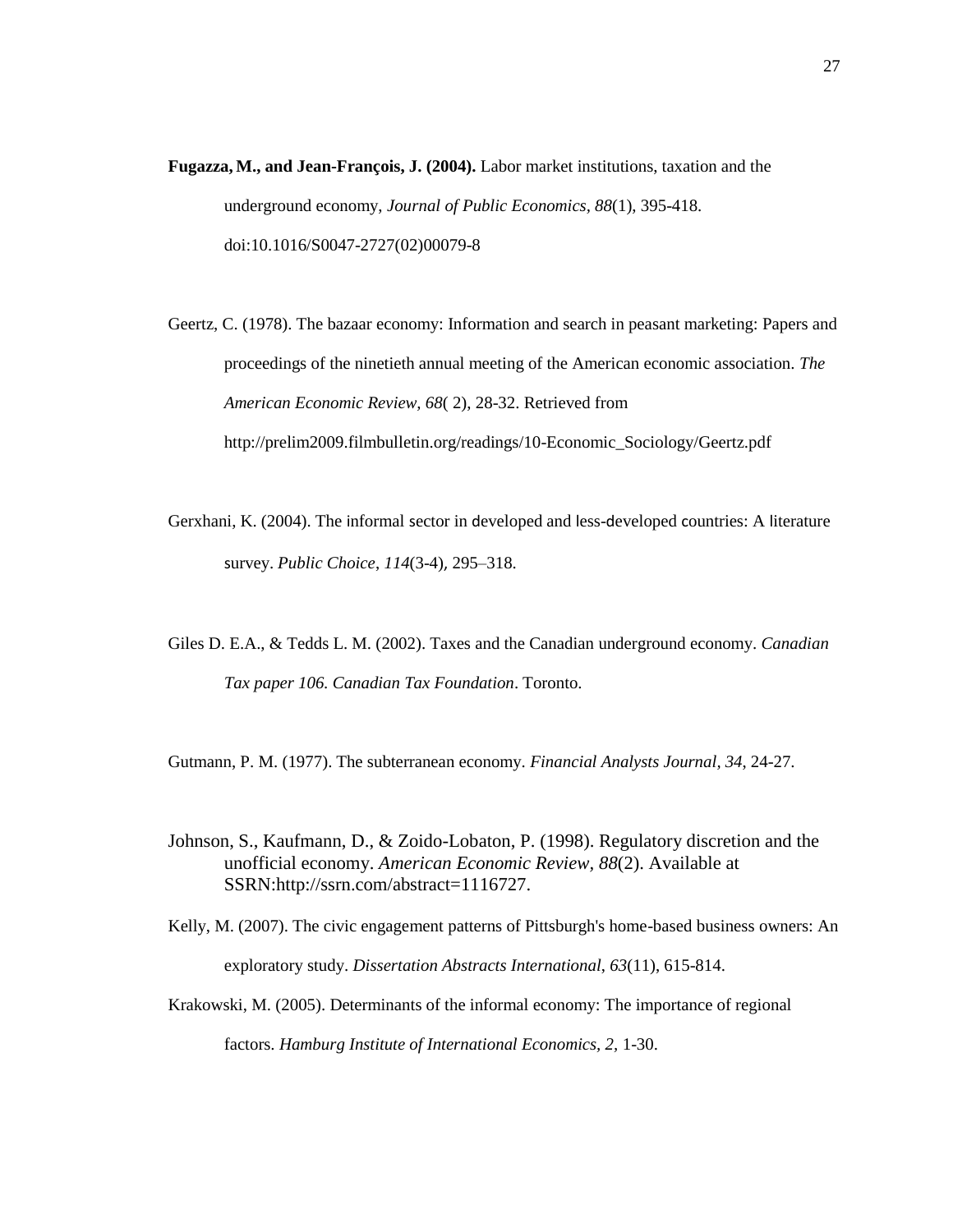**Fugazza, M., and Jean-François, J. (2004).** Labor market institutions, taxation and the underground economy, *Journal of Public Economics, 88*(1), 395-418. doi:10.1016/S0047-2727(02)00079-8

Geertz, C. (1978). The bazaar economy: Information and search in peasant marketing: Papers and proceedings of the ninetieth annual meeting of the American economic association. *The American Economic Review, 68*( 2), 28-32. Retrieved from http://prelim2009.filmbulletin.org/readings/10-Economic\_Sociology/Geertz.pdf

- Gerxhani, K. (2004). The informal sector in developed and less-developed countries: A literature survey. *Public Choice*, *114*(3-4), 295–318.
- Giles D. E.A., & Tedds L. M. (2002). Taxes and the Canadian underground economy. *Canadian Tax paper 106. Canadian Tax Foundation*. Toronto.

Gutmann, P. M. (1977). The subterranean economy. *Financial Analysts Journal, 34*, 24-27.

- Johnson, S., Kaufmann, D., & Zoido-Lobaton, P. (1998). Regulatory discretion and the unofficial economy. *American Economic Review, 88*(2). Available at SSRN:http://ssrn.com/abstract=1116727.
- Kelly, M. (2007). The civic engagement patterns of Pittsburgh's home-based business owners: An exploratory study. *Dissertation Abstracts International*, *63*(11), 615-814.
- Krakowski, M. (2005). Determinants of the informal economy: The importance of regional factors. *Hamburg Institute of International Economics, 2,* 1-30.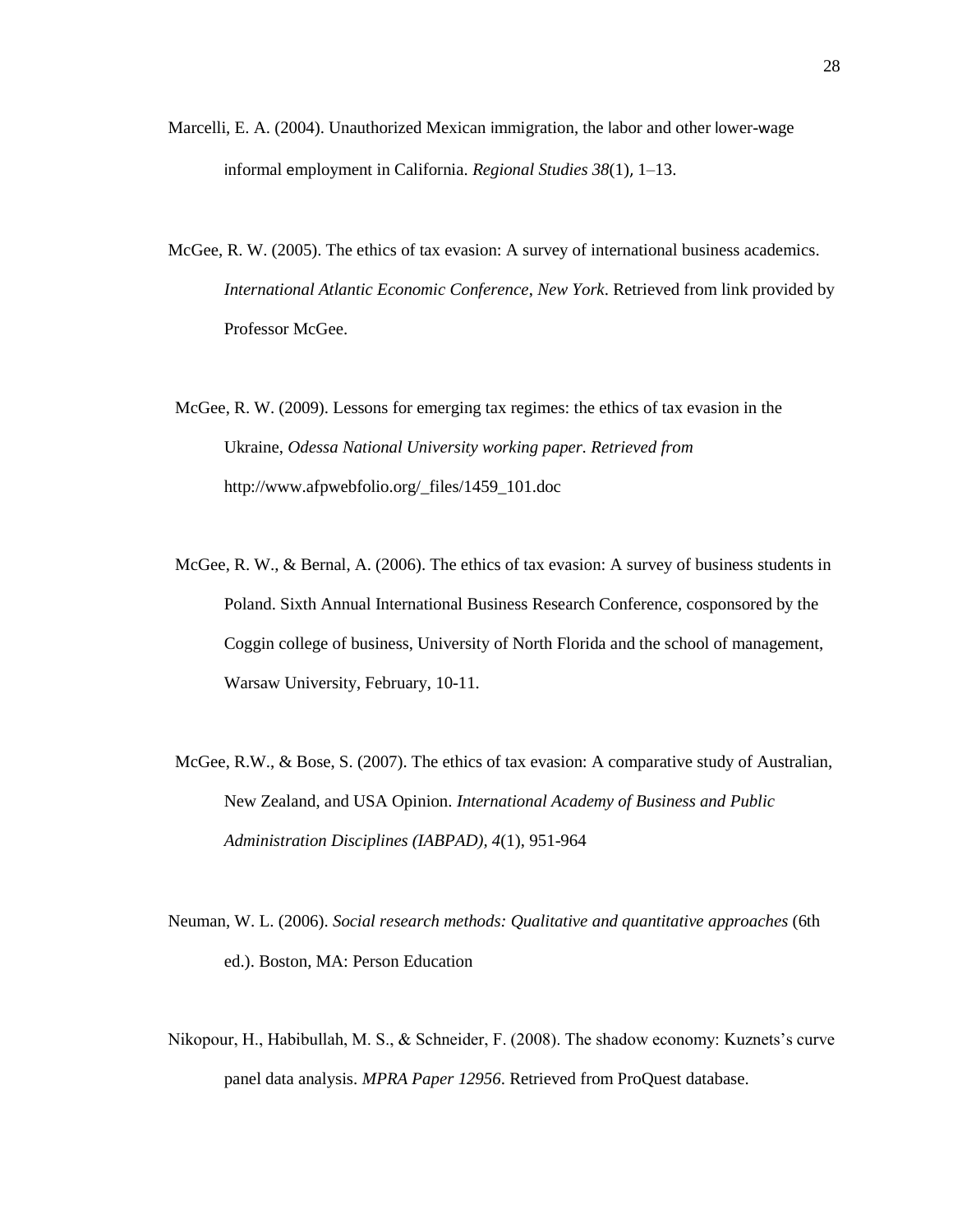- Marcelli, E. A. (2004). Unauthorized Mexican immigration, the labor and other lower-wage informal employment in California. *Regional Studies 38*(1), 1–13.
- McGee, R. W. (2005). The ethics of tax evasion: A survey of international business academics. *International Atlantic Economic Conference*, *New York*. Retrieved from link provided by Professor McGee.
- McGee, R. W. (2009). Lessons for emerging tax regimes: the ethics of tax evasion in the Ukraine, *Odessa National University working paper. Retrieved from*  http://www.afpwebfolio.org/\_files/1459\_101.doc
- McGee, R. W., & Bernal, A. (2006). The ethics of tax evasion: A survey of business students in Poland. Sixth Annual International Business Research Conference, cosponsored by the Coggin college of business, University of North Florida and the school of management, Warsaw University, February, 10-11.
- McGee, R.W., & Bose, S. (2007). The ethics of tax evasion: A comparative study of Australian, New Zealand, and USA Opinion. *International Academy of Business and Public Administration Disciplines (IABPAD), 4*(1), 951-964
- Neuman, W. L. (2006). *Social research methods: Qualitative and quantitative approaches* (6th ed.). Boston, MA: Person Education
- Nikopour, H., Habibullah, M. S., & Schneider, F. (2008). The shadow economy: Kuznets's curve panel data analysis. *MPRA Paper 12956*. Retrieved from ProQuest database.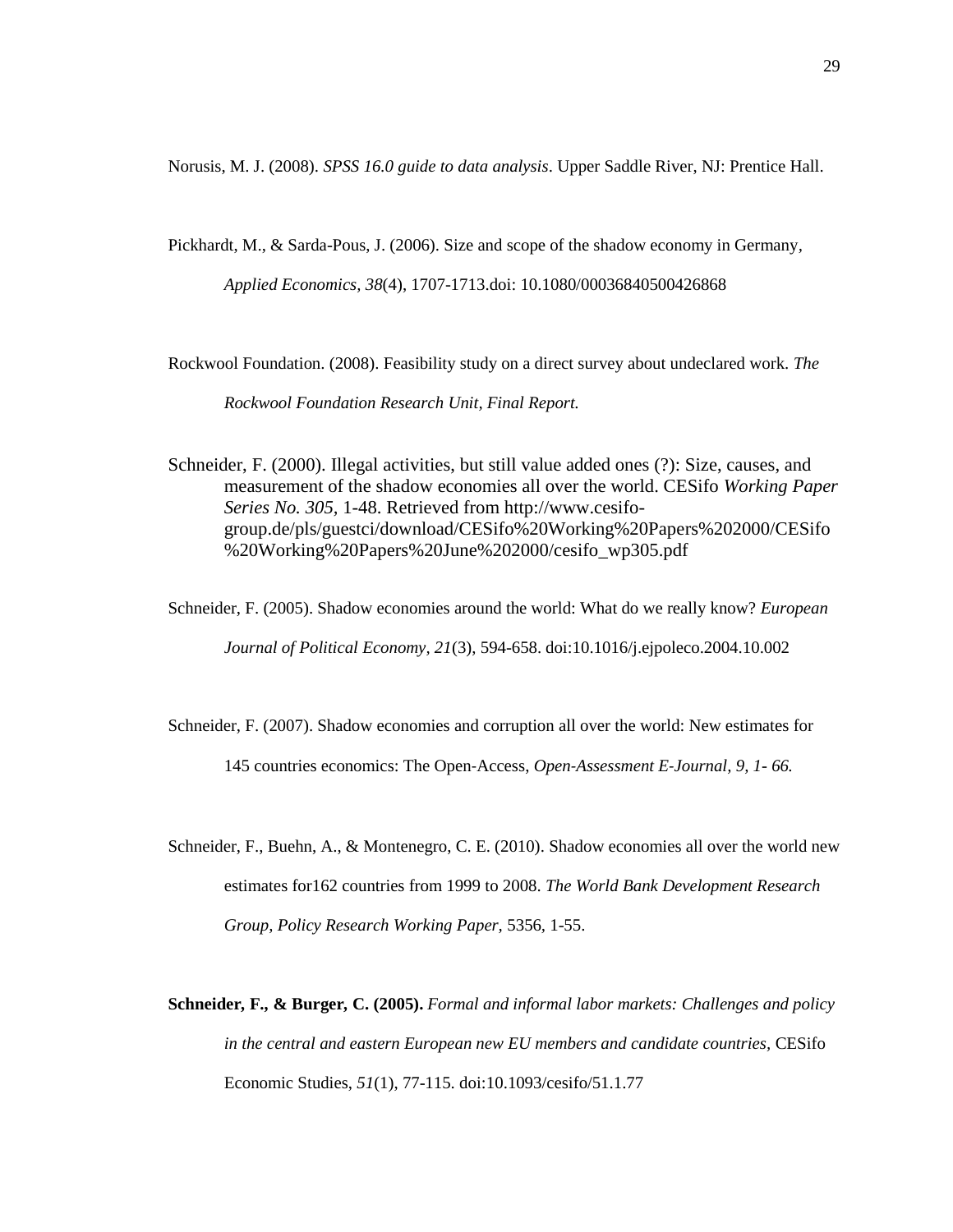Norusis, M. J. (2008). *SPSS 16.0 guide to data analysis*. Upper Saddle River, NJ: Prentice Hall.

Pickhardt, M., & Sarda-Pous, J. (2006). Size and scope of the shadow economy in Germany*,* 

*Applied Economics, 38*(4), 1707-1713.doi: 10.1080/00036840500426868

Rockwool Foundation. (2008). Feasibility study on a direct survey about undeclared work. *The Rockwool Foundation Research Unit, Final Report.*

Schneider, F. (2000). Illegal activities, but still value added ones (?): Size, causes, and measurement of the shadow economies all over the world. CESifo *Working Paper Series No. 305,* 1-48. Retrieved from http://www.cesifogroup.de/pls/guestci/download/CESifo%20Working%20Papers%202000/CESifo %20Working%20Papers%20June%202000/cesifo\_wp305.pdf

Schneider, F. (2005). Shadow economies around the world: What do we really know? *European Journal of Political Economy, 21*(3), 594-658. doi:10.1016/j.ejpoleco.2004.10.002

Schneider, F. (2007). Shadow economies and corruption all over the world: New estimates for 145 countries economics: The Open‐Access, *Open‐Assessment E‐Journal, 9, 1- 66.*

- Schneider, F., Buehn, A., & Montenegro, C. E. (2010). Shadow economies all over the world new estimates for162 countries from 1999 to 2008. *The World Bank Development Research Group, Policy Research Working Paper,* 5356*,* 1-55.
- **Schneider***,* **F***.,* **& Burger***,* **C. (2005).** *Formal and informal labor markets: Challenges and policy in the central and eastern European new EU members and candidate countries,* CESifo Economic Studies, *51*(1), 77-115. doi:10.1093/cesifo/51.1.77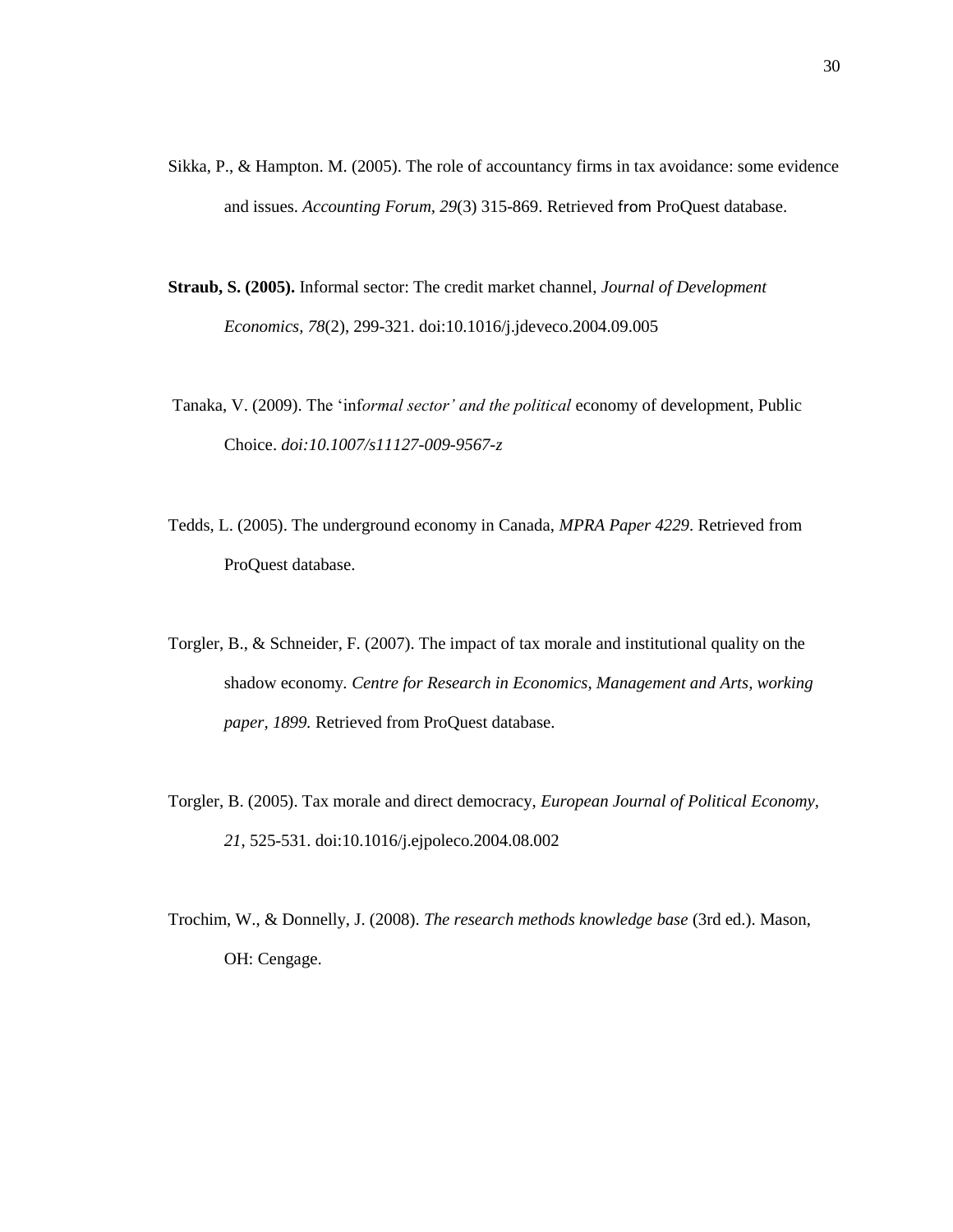- Sikka, P., & Hampton. M. (2005). The role of accountancy firms in tax avoidance: some evidence and issues. *Accounting Forum, 29*(3) 315-869. Retrieved from ProQuest database.
- **Straub, S. (2005).** Informal sector: The credit market channel, *Journal of Development Economics, 78*(2), 299-321. doi:10.1016/j.jdeveco.2004.09.005
- Tanaka, V. (2009). The 'inf*ormal sector' and the political* economy of development*,* Public Choice. *doi:10.1007/s11127-009-9567-z*
- Tedds, L. (2005). The underground economy in Canada, *MPRA Paper 4229*. Retrieved from ProQuest database.
- Torgler, B., & Schneider, F. (2007). The impact of tax morale and institutional quality on the shadow economy*. Centre for Research in Economics, Management and Arts, working paper, 1899.* Retrieved from ProQuest database.
- Torgler, B. (2005). Tax morale and direct democracy, *European Journal of Political Economy, 21*, 525-531. doi:10.1016/j.ejpoleco.2004.08.002
- Trochim, W., & Donnelly, J. (2008). *The research methods knowledge base* (3rd ed.). Mason, OH: Cengage.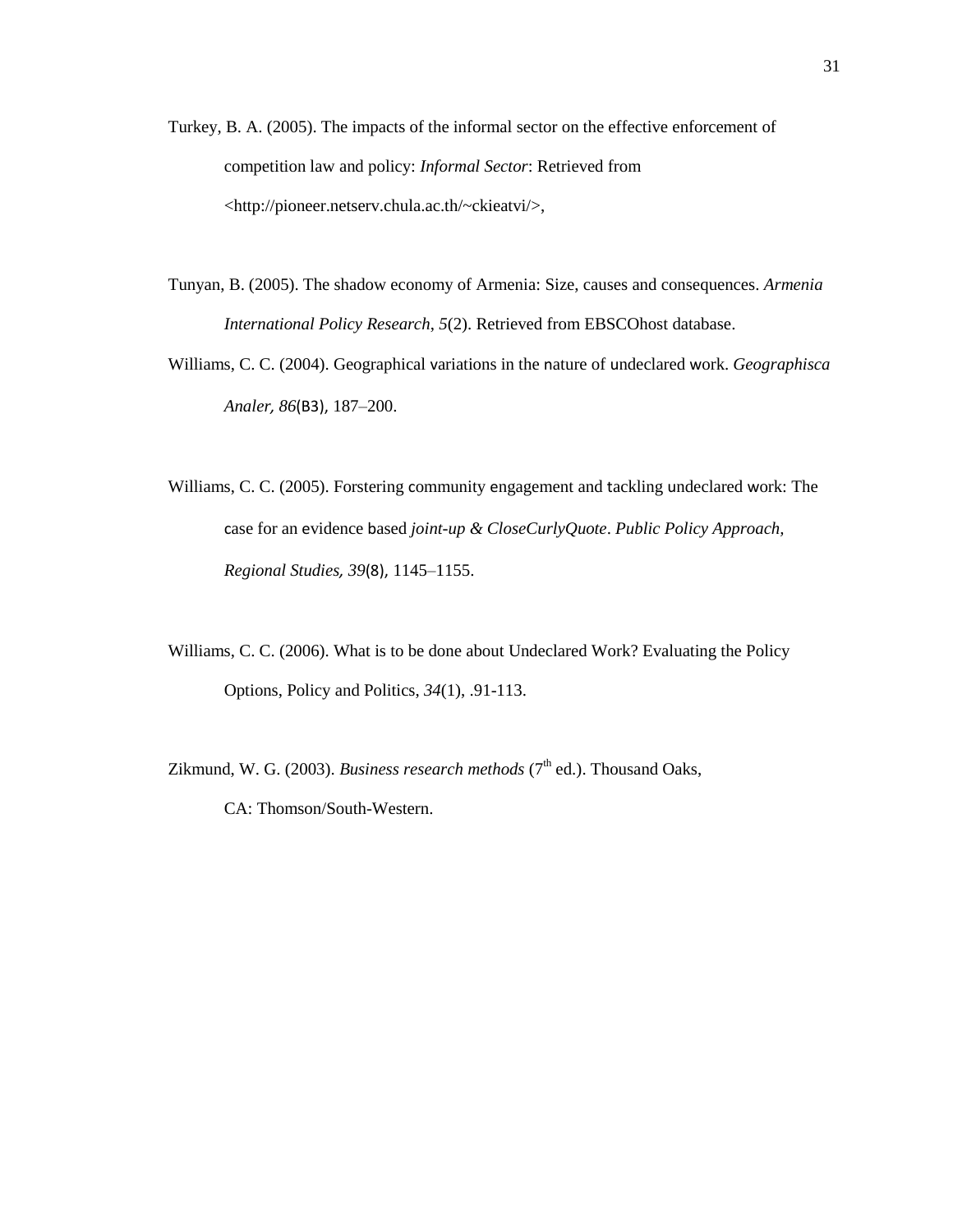- Turkey, B. A. (2005). The impacts of the informal sector on the effective enforcement of competition law and policy: *Informal Sector*: Retrieved from <http://pioneer.netserv.chula.ac.th/~ckieatvi/>,
- Tunyan, B. (2005). The shadow economy of Armenia: Size, causes and consequences. *Armenia International Policy Research*, *5*(2). Retrieved from EBSCOhost database.
- Williams, C. C. (2004). Geographical variations in the nature of undeclared work. *Geographisca Analer, 86*(B3), 187–200.
- Williams, C. C. (2005). Forstering community engagement and tackling undeclared work: The case for an evidence based *joint-up & CloseCurlyQuote*. *Public Policy Approach, Regional Studies, 39*(8), 1145–1155.
- Williams, C. C. (2006). What is to be done about Undeclared Work? Evaluating the Policy Options, Policy and Politics, *34*(1), .91-113.

Zikmund, W. G. (2003). *Business research methods* (7<sup>th</sup> ed.). Thousand Oaks,

CA: Thomson/South-Western.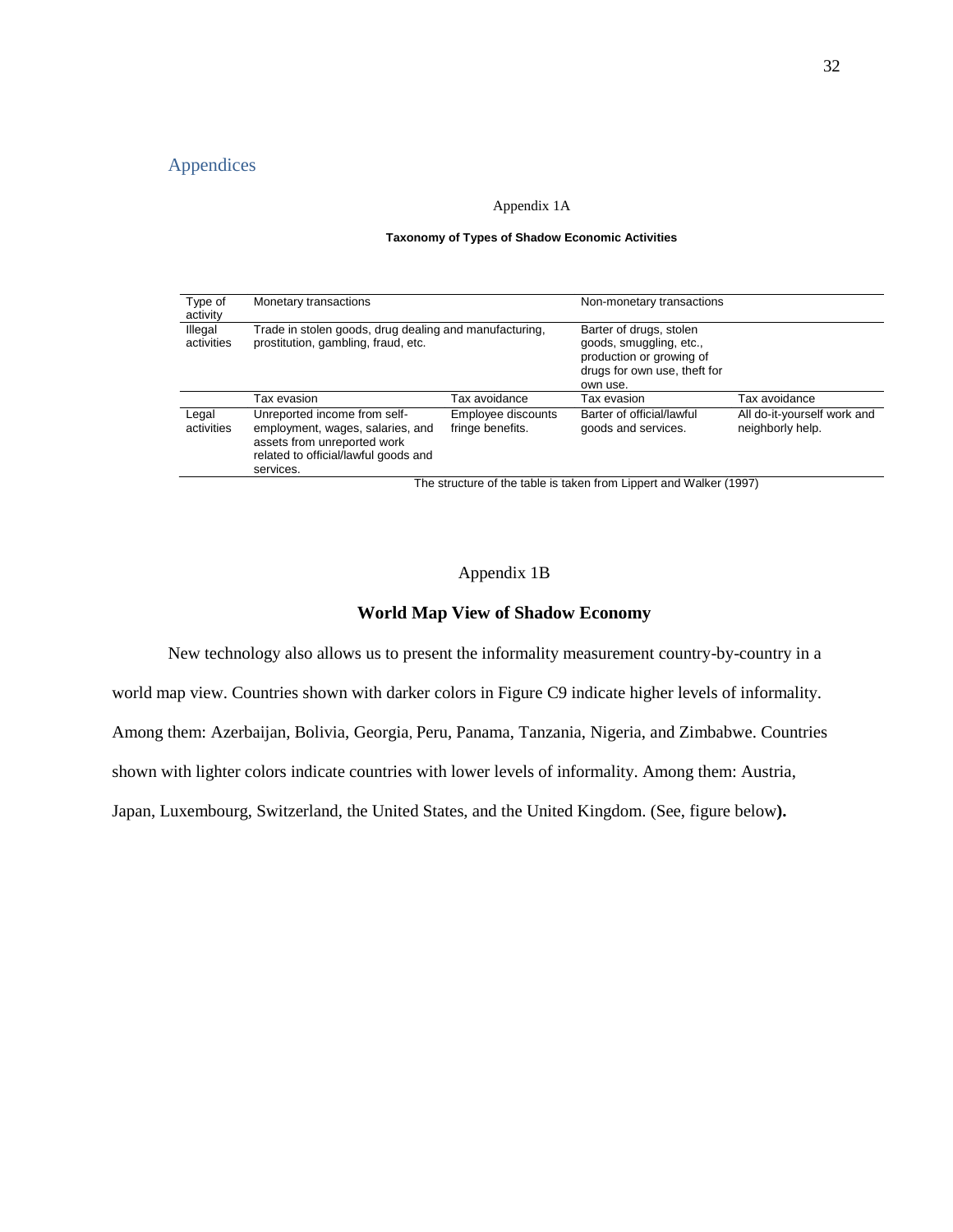## Appendices

#### Appendix 1A

#### **Taxonomy of Types of Shadow Economic Activities**

| Type of<br>activity   | Monetary transactions                                                                                                                                |                                        | Non-monetary transactions                                                                                                  |                                                 |  |
|-----------------------|------------------------------------------------------------------------------------------------------------------------------------------------------|----------------------------------------|----------------------------------------------------------------------------------------------------------------------------|-------------------------------------------------|--|
| Illegal<br>activities | Trade in stolen goods, drug dealing and manufacturing,<br>prostitution, gambling, fraud, etc.                                                        |                                        | Barter of drugs, stolen<br>goods, smuggling, etc.,<br>production or growing of<br>drugs for own use, theft for<br>own use. |                                                 |  |
|                       | Tax evasion                                                                                                                                          | Tax avoidance                          | Tax evasion                                                                                                                | Tax avoidance                                   |  |
| Legal<br>activities   | Unreported income from self-<br>employment, wages, salaries, and<br>assets from unreported work<br>related to official/lawful goods and<br>services. | Employee discounts<br>fringe benefits. | Barter of official/lawful<br>goods and services.                                                                           | All do-it-yourself work and<br>neighborly help. |  |

The structure of the table is taken from Lippert and Walker (1997)

### Appendix 1B

## **World Map View of Shadow Economy**

New technology also allows us to present the informality measurement country-by-country in a

world map view. Countries shown with darker colors in Figure C9 indicate higher levels of informality.

Among them: Azerbaijan, Bolivia, Georgia, Peru, Panama, Tanzania, Nigeria, and Zimbabwe. Countries

shown with lighter colors indicate countries with lower levels of informality. Among them: Austria,

Japan, Luxembourg, Switzerland, the United States, and the United Kingdom. (See, figure below**).**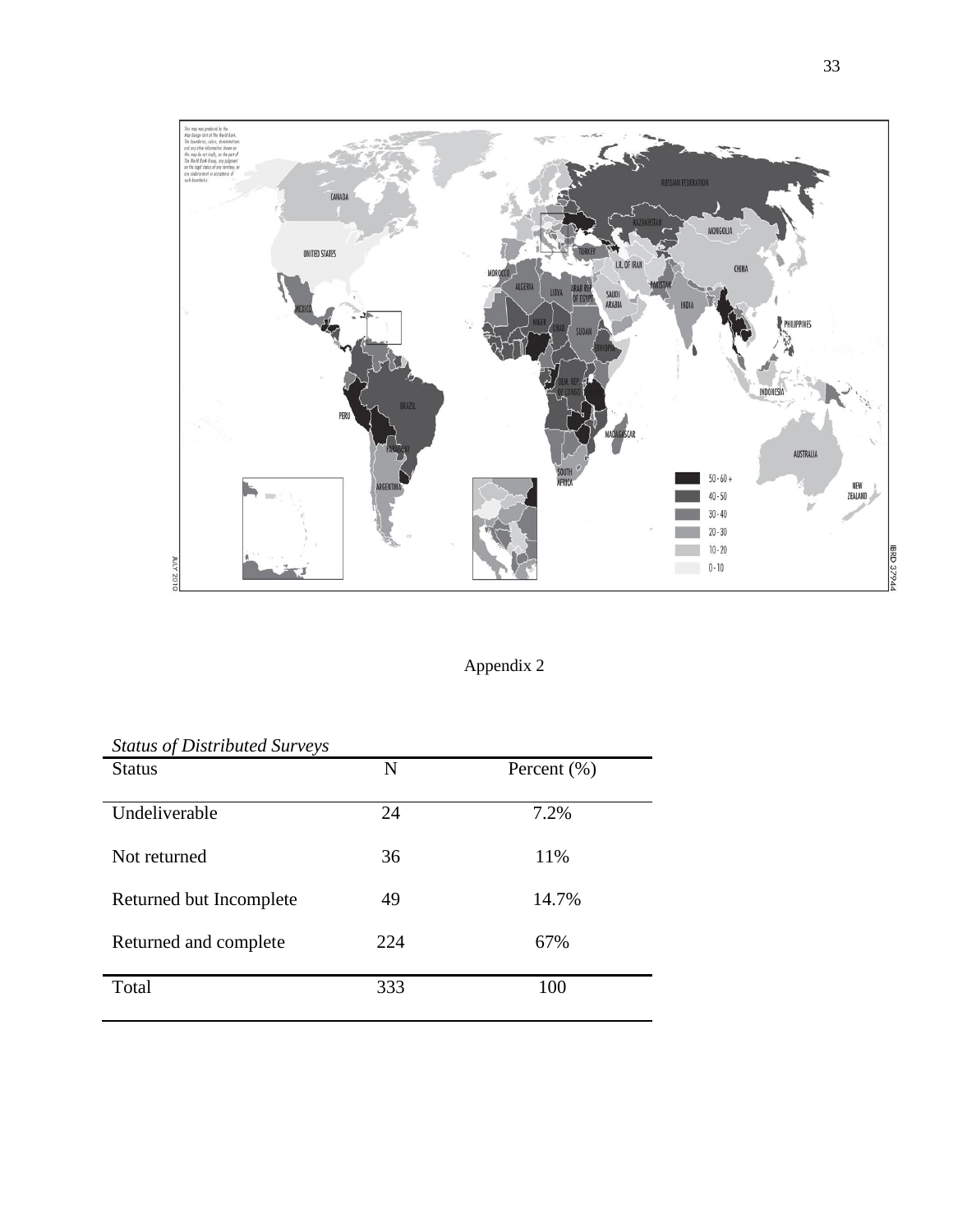

Appendix 2

| <b>Status of Distributed Surveys</b> |     |                 |
|--------------------------------------|-----|-----------------|
| <b>Status</b>                        | N   | Percent $(\% )$ |
| Undeliverable                        | 24  | 7.2%            |
| Not returned                         | 36  | 11%             |
| Returned but Incomplete              | 49  | 14.7%           |
| Returned and complete                | 224 | 67%             |
| Total                                | 333 | 100             |

## *Status of Distributed Surveys*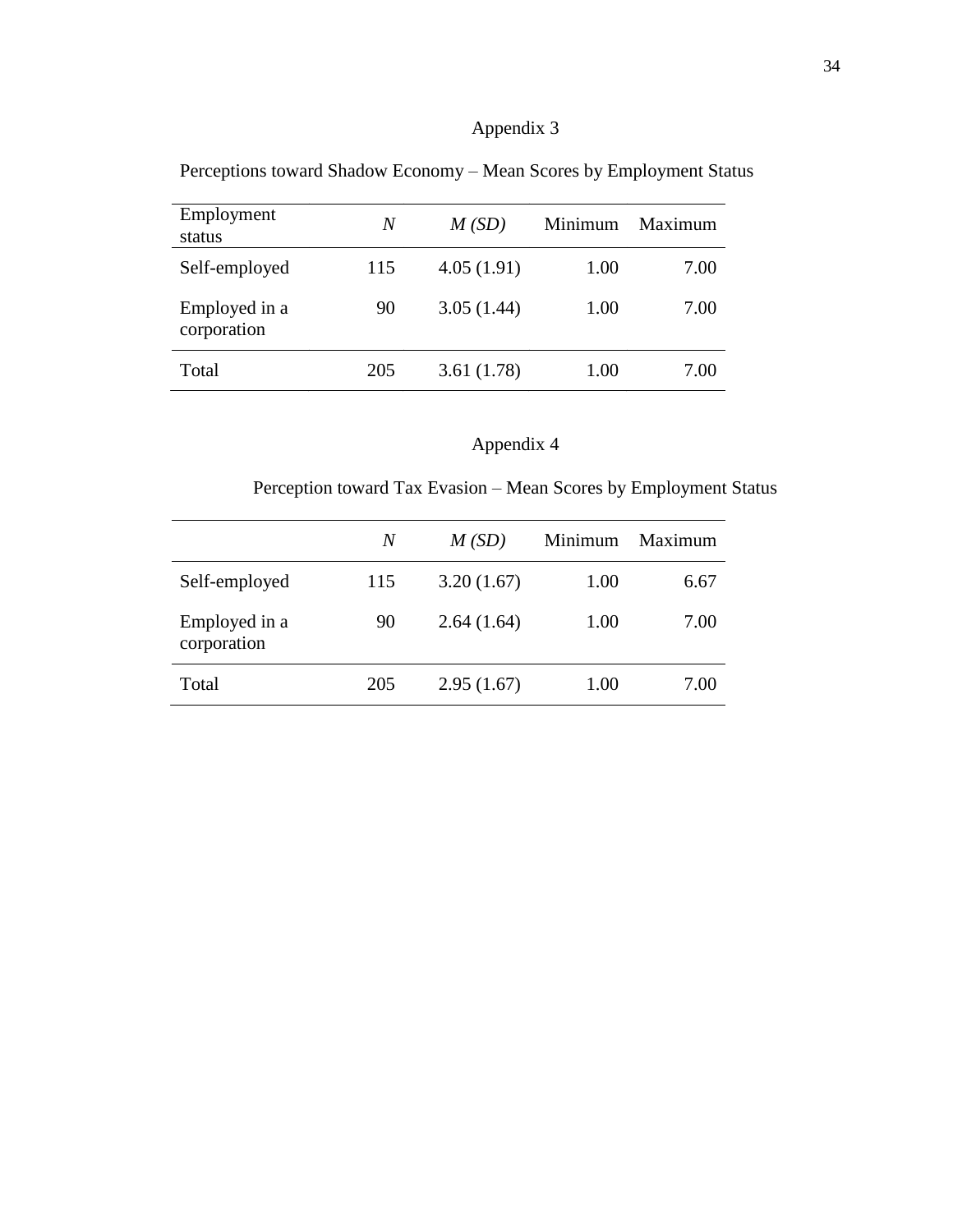## Appendix 3

| Employment<br>status         | N   | M(SD)      | Minimum | Maximum |
|------------------------------|-----|------------|---------|---------|
| Self-employed                | 115 | 4.05(1.91) | 1.00    | 7.00    |
| Employed in a<br>corporation | 90  | 3.05(1.44) | 1.00    | 7.00    |
| Total                        | 205 | 3.61(1.78) | 1.00    | 7.00    |

Perceptions toward Shadow Economy – Mean Scores by Employment Status

## Appendix 4

Perception toward Tax Evasion – Mean Scores by Employment Status

|                              | N   | M(SD)      | Minimum | Maximum |
|------------------------------|-----|------------|---------|---------|
| Self-employed                | 115 | 3.20(1.67) | 1.00    | 6.67    |
| Employed in a<br>corporation | 90  | 2.64(1.64) | 1.00    | 7.00    |
| Total                        | 205 | 2.95(1.67) | 1.00    | 7.00    |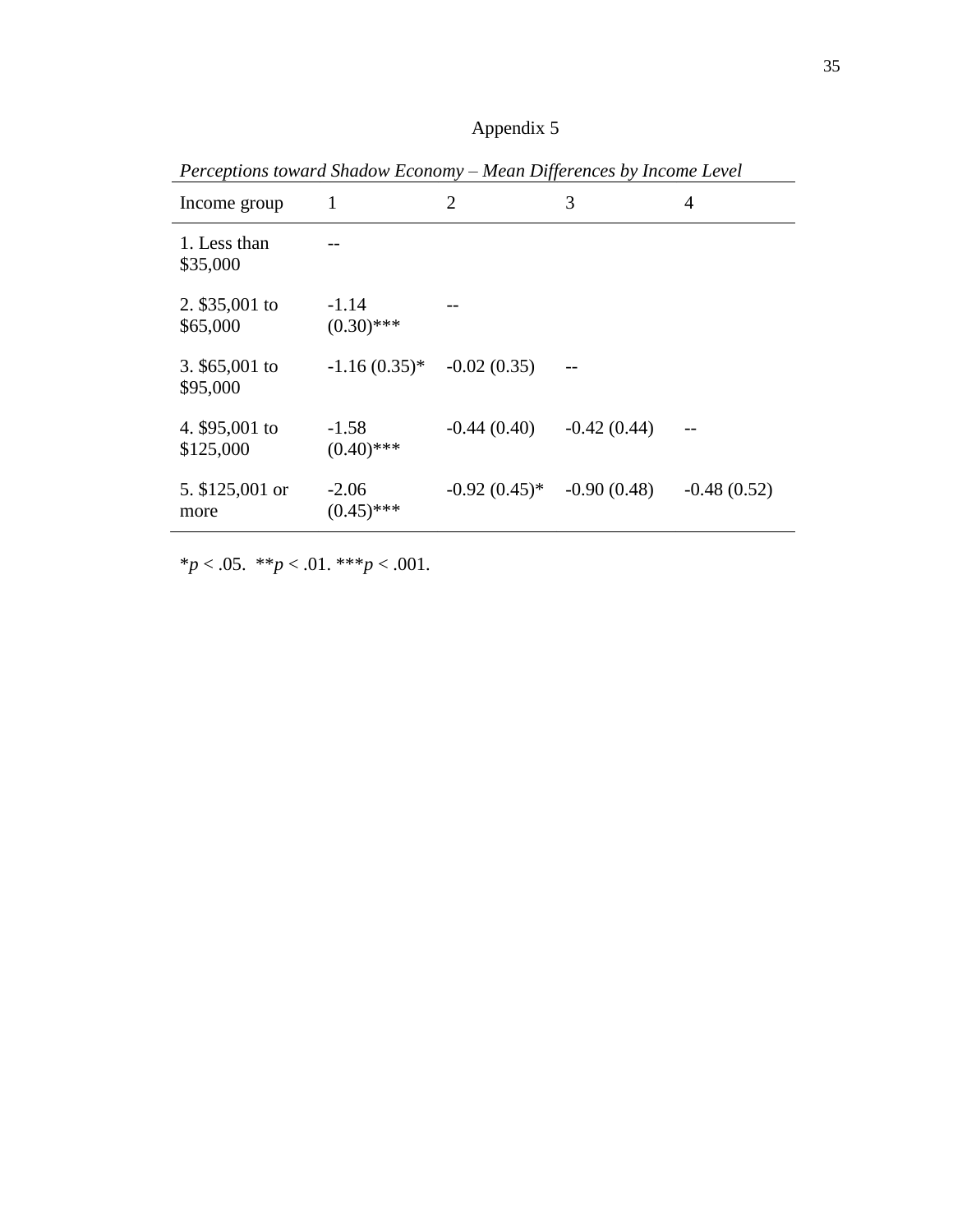|  | Appendix 5 |  |  |
|--|------------|--|--|
|  |            |  |  |

|                             |                         | .,,            |               |               |
|-----------------------------|-------------------------|----------------|---------------|---------------|
| Income group                | 1                       | $\overline{2}$ | 3             | 4             |
| 1. Less than<br>\$35,000    |                         |                |               |               |
| 2. \$35,001 to<br>\$65,000  | $-1.14$<br>$(0.30)$ *** |                |               |               |
| 3. $$65,001$ to<br>\$95,000 | $-1.16(0.35)^{*}$       | $-0.02(0.35)$  |               |               |
| 4. \$95,001 to<br>\$125,000 | $-1.58$<br>$(0.40)$ *** | $-0.44(0.40)$  | $-0.42(0.44)$ |               |
| 5. \$125,001 or<br>more     | $-2.06$<br>$(0.45)$ *** | $-0.92(0.45)*$ | $-0.90(0.48)$ | $-0.48(0.52)$ |

*Perceptions toward Shadow Economy – Mean Differences by Income Level*

 $**p* < .05.$  \*\**\*\*\** $*p* < .001.$